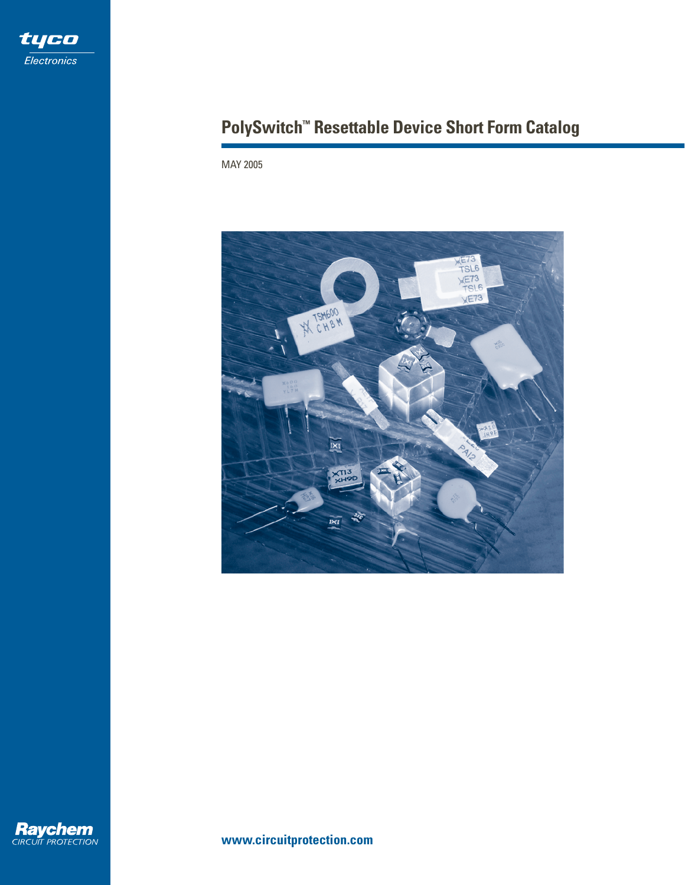

# **PolySwitch™ Resettable Device Short Form Catalog**

MAY 2005





**www.circuitprotection.com**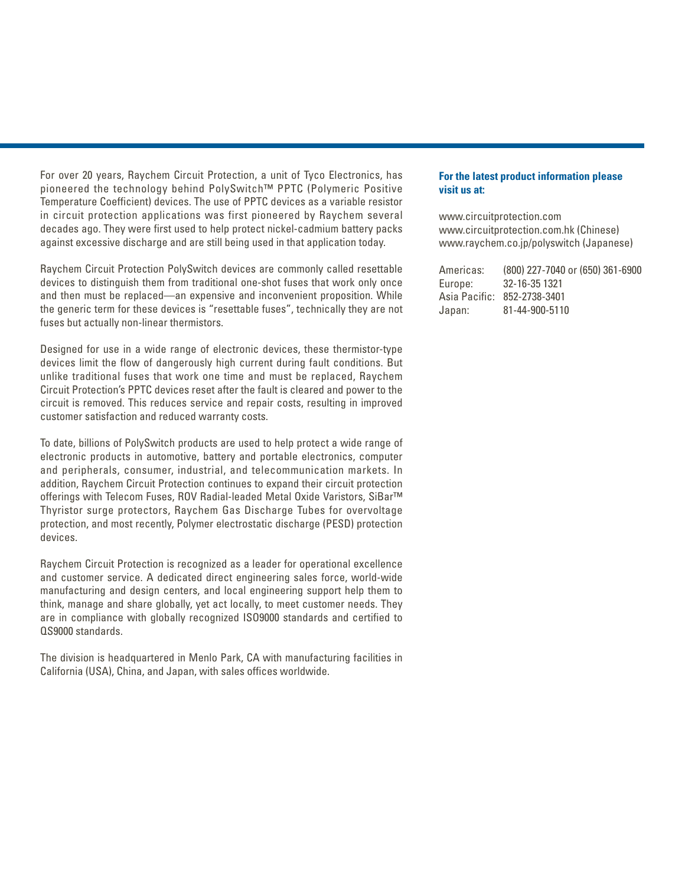For over 20 years, Raychem Circuit Protection, a unit of Tyco Electronics, has pioneered the technology behind PolySwitch™ PPTC (Polymeric Positive Temperature Coefficient) devices. The use of PPTC devices as a variable resistor in circuit protection applications was first pioneered by Raychem several decades ago. They were first used to help protect nickel-cadmium battery packs against excessive discharge and are still being used in that application today.

Raychem Circuit Protection PolySwitch devices are commonly called resettable devices to distinguish them from traditional one-shot fuses that work only once and then must be replaced—an expensive and inconvenient proposition. While the generic term for these devices is "resettable fuses", technically they are not fuses but actually non-linear thermistors.

Designed for use in a wide range of electronic devices, these thermistor-type devices limit the flow of dangerously high current during fault conditions. But unlike traditional fuses that work one time and must be replaced, Raychem Circuit Protection's PPTC devices reset after the fault is cleared and power to the circuit is removed. This reduces service and repair costs, resulting in improved customer satisfaction and reduced warranty costs.

To date, billions of PolySwitch products are used to help protect a wide range of electronic products in automotive, battery and portable electronics, computer and peripherals, consumer, industrial, and telecommunication markets. In addition, Raychem Circuit Protection continues to expand their circuit protection offerings with Telecom Fuses, ROV Radial-leaded Metal Oxide Varistors, SiBar™ Thyristor surge protectors, Raychem Gas Discharge Tubes for overvoltage protection, and most recently, Polymer electrostatic discharge (PESD) protection devices.

Raychem Circuit Protection is recognized as a leader for operational excellence and customer service. A dedicated direct engineering sales force, world-wide manufacturing and design centers, and local engineering support help them to think, manage and share globally, yet act locally, to meet customer needs. They are in compliance with globally recognized ISO9000 standards and certified to QS9000 standards.

The division is headquartered in Menlo Park, CA with manufacturing facilities in California (USA), China, and Japan, with sales offices worldwide.

#### **For the latest product information please visit us at:**

www.circuitprotection.com www.circuitprotection.com.hk (Chinese) www.raychem.co.jp/polyswitch (Japanese)

Americas: (800) 227-7040 or (650) 361-6900 Europe: 32-16-35 1321 Asia Pacific: 852-2738-3401 Japan: 81-44-900-5110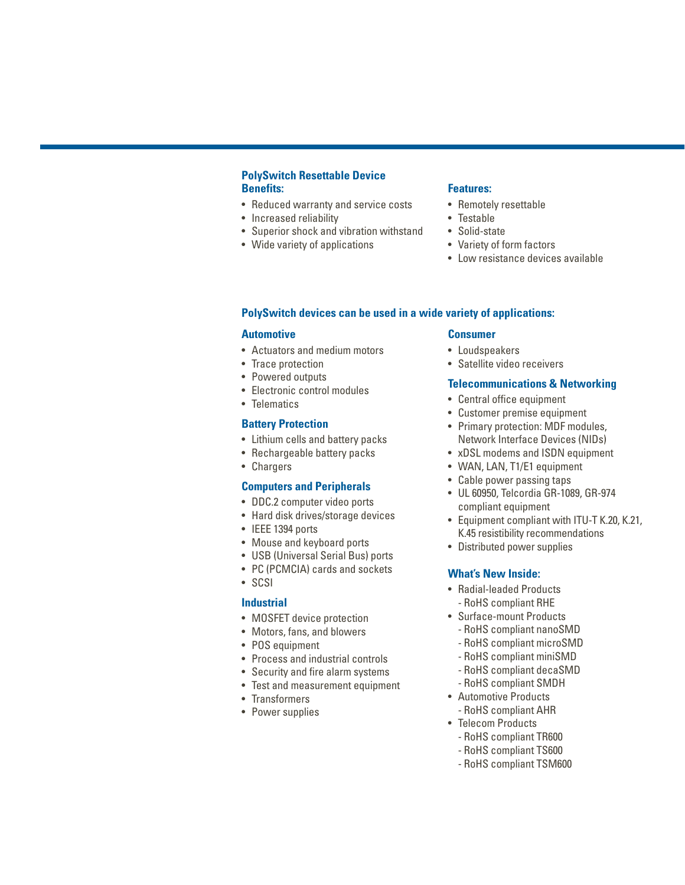### **PolySwitch Resettable Device Benefits:**

- Reduced warranty and service costs
- Increased reliability
- Superior shock and vibration withstand
- Wide variety of applications

#### **Features:**

- Remotely resettable
- Testable
- Solid-state
- Variety of form factors
- Low resistance devices available

### **PolySwitch devices can be used in a wide variety of applications:**

#### **Automotive**

- Actuators and medium motors
- Trace protection
- Powered outputs
- Electronic control modules
- Telematics

#### **Battery Protection**

- Lithium cells and battery packs
- Rechargeable battery packs
- Chargers

#### **Computers and Peripherals**

- DDC.2 computer video ports
- Hard disk drives/storage devices
- IEEE 1394 ports
- Mouse and keyboard ports
- USB (Universal Serial Bus) ports
- PC (PCMCIA) cards and sockets
- SCSI

### **Industrial**

- MOSFET device protection
- Motors, fans, and blowers
- POS equipment
- Process and industrial controls
- Security and fire alarm systems
- Test and measurement equipment
- Transformers
- Power supplies

### **Consumer**

- Loudspeakers
- Satellite video receivers

### **Telecommunications & Networking**

- Central office equipment
- Customer premise equipment
- Primary protection: MDF modules, Network Interface Devices (NIDs)
- xDSL modems and ISDN equipment
- WAN, LAN, T1/E1 equipment
- Cable power passing taps
- UL 60950, Telcordia GR-1089, GR-974 compliant equipment
- Equipment compliant with ITU-T K.20, K.21, K.45 resistibility recommendations
- Distributed power supplies

### **What's New Inside:**

- Radial-leaded Products - RoHS compliant RHE
- Surface-mount Products
	- RoHS compliant nanoSMD
	- RoHS compliant microSMD
	- RoHS compliant miniSMD
	- RoHS compliant decaSMD
- RoHS compliant SMDH • Automotive Products
- RoHS compliant AHR
- Telecom Products - RoHS compliant TR600
	- RoHS compliant TS600
	- RoHS compliant TSM600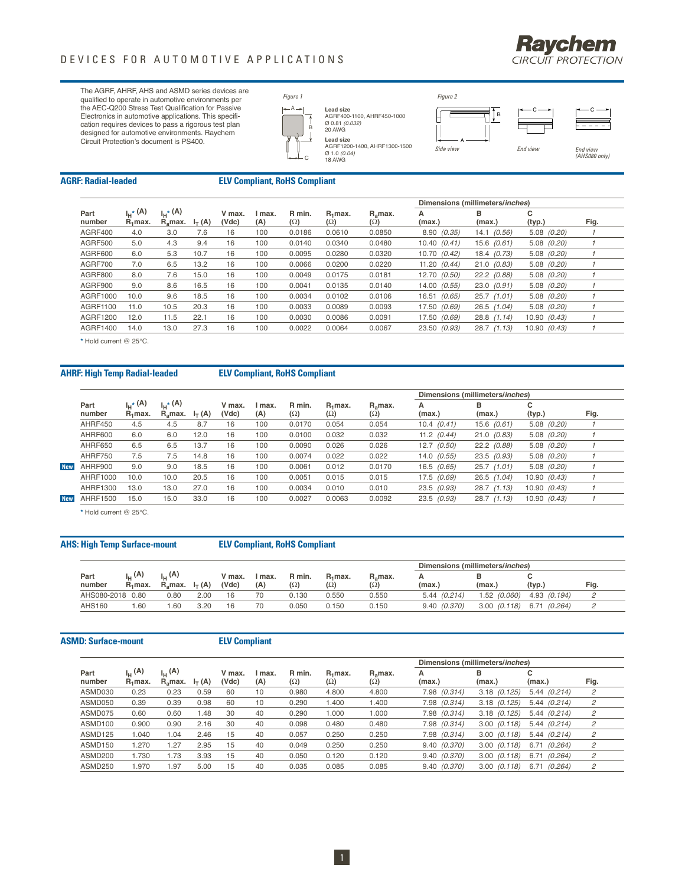

The AGRF, AHRF, AHS and ASMD series devices are qualified to operate in automotive environments per the AEC-Q200 Stress Test Qualification for Passive Electronics in automotive applications. This specifi-cation requires devices to pass a rigorous test plan designed for automotive environments. Raychem Circuit Protection's document is PS400.



# **Lead size**<br>AGRF400-1100, AHRF450-1000<br>Ø 0.81 *(0.032)*<br>20 AWG

**Lead size**



### **AGRF: Radial-leaded ELV Compliant, RoHS Compliant**

|                |                        |                                                   |          |                 |               |                      |                          |                                   | Dimensions (millimeters/inches) |                 |                 |      |
|----------------|------------------------|---------------------------------------------------|----------|-----------------|---------------|----------------------|--------------------------|-----------------------------------|---------------------------------|-----------------|-----------------|------|
| Part<br>number | լ․,∗ (A)<br>$R_1$ max. | $\mathsf{L}^*(\mathsf{A})$<br>R <sub>a</sub> max. | $I_T(A)$ | V max.<br>(Vdc) | I max.<br>(A) | R min.<br>$(\Omega)$ | $R_1$ max.<br>$(\Omega)$ | R <sub>a</sub> max.<br>$(\Omega)$ | А<br>(max.)                     | в<br>(max.)     | с<br>(typ.)     | Fig. |
| AGRF400        | 4.0                    | 3.0                                               | 7.6      | 16              | 100           | 0.0186               | 0.0610                   | 0.0850                            | 8.90(0.35)                      | $14.1$ $(0.56)$ | $5.08$ $(0.20)$ |      |
| AGRF500        | 5.0                    | 4.3                                               | 9.4      | 16              | 100           | 0.0140               | 0.0340                   | 0.0480                            | 10.40(0.41)                     | $15.6$ $(0.61)$ | $5.08$ $(0.20)$ |      |
| AGRF600        | 6.0                    | 5.3                                               | 10.7     | 16              | 100           | 0.0095               | 0.0280                   | 0.0320                            | 10.70 (0.42)                    | 18.4 (0.73)     | $5.08$ $(0.20)$ |      |
| AGRF700        | 7.0                    | 6.5                                               | 13.2     | 16              | 100           | 0.0066               | 0.0200                   | 0.0220                            | 11.20(0.44)                     | 21.0(0.83)      | $5.08$ $(0.20)$ |      |
| AGRF800        | 8.0                    | 7.6                                               | 15.0     | 16              | 100           | 0.0049               | 0.0175                   | 0.0181                            | 12.70 (0.50)                    | $22.2$ $(0.88)$ | $5.08$ $(0.20)$ |      |
| AGRF900        | 9.0                    | 8.6                                               | 16.5     | 16              | 100           | 0.0041               | 0.0135                   | 0.0140                            | 14.00 (0.55)                    | 23.0(0.91)      | $5.08$ $(0.20)$ |      |
| AGRF1000       | 10.0                   | 9.6                                               | 18.5     | 16              | 100           | 0.0034               | 0.0102                   | 0.0106                            | 16.51 (0.65)                    | $25.7$ $(1.01)$ | $5.08$ $(0.20)$ |      |
| AGRF1100       | 11.0                   | 10.5                                              | 20.3     | 16              | 100           | 0.0033               | 0.0089                   | 0.0093                            | 17.50 (0.69)                    | $26.5$ $(1.04)$ | $5.08$ $(0.20)$ |      |
| AGRF1200       | 12.0                   | 11.5                                              | 22.1     | 16              | 100           | 0.0030               | 0.0086                   | 0.0091                            | 17.50 (0.69)                    | $28.8$ $(1.14)$ | 10.90 (0.43)    |      |
| AGRF1400       | 14.0                   | 13.0                                              | 27.3     | 16              | 100           | 0.0022               | 0.0064                   | 0.0067                            | 23.50 (0.93)                    | $28.7$ $(1.13)$ | 10.90 (0.43)    |      |
|                |                        |                                                   |          |                 |               |                      |                          |                                   |                                 |                 |                 |      |

**\*** Hold current @ 25°C.

#### **AHRF: High Temp Radial-leaded ELV Compliant, RoHS Compliant**

|                 |                                    |                                          |          |                 |               |                      |                          |                            | Dimensions (millimeters/inches) |                 |                 |      |
|-----------------|------------------------------------|------------------------------------------|----------|-----------------|---------------|----------------------|--------------------------|----------------------------|---------------------------------|-----------------|-----------------|------|
| Part<br>number  | I <sub>H</sub> * (A)<br>$R_1$ max. | I <sub>H</sub> * (A)<br>$R_{\rm s}$ max. | $I_T(A)$ | V max.<br>(Vdc) | I max.<br>(A) | R min.<br>$(\Omega)$ | $R_1$ max.<br>$(\Omega)$ | $R_{a}$ max.<br>$(\Omega)$ | A<br>(max.)                     | в<br>(max.)     | с<br>(typ.)     | Fig. |
| AHRF450         | 4.5                                | 4.5                                      | 8.7      | 16              | 100           | 0.0170               | 0.054                    | 0.054                      | 10.4(0.41)                      | $15.6$ $(0.61)$ | $5.08$ $(0.20)$ |      |
| AHRF600         | 6.0                                | 6.0                                      | 12.0     | 16              | 100           | 0.0100               | 0.032                    | 0.032                      | 11.2 $(0.44)$                   | 21.0(0.83)      | $5.08$ $(0.20)$ |      |
| AHRF650         | 6.5                                | 6.5                                      | 13.7     | 16              | 100           | 0.0090               | 0.026                    | 0.026                      | $12.7$ $(0.50)$                 | 22.2(0.88)      | $5.08$ $(0.20)$ |      |
| AHRF750         | 7.5                                | 7.5                                      | 14.8     | 16              | 100           | 0.0074               | 0.022                    | 0.022                      | $14.0$ $(0.55)$                 | $23.5$ $(0.93)$ | $5.08$ $(0.20)$ |      |
| AHRF900         | 9.0                                | 9.0                                      | 18.5     | 16              | 100           | 0.0061               | 0.012                    | 0.0170                     | $16.5$ $(0.65)$                 | $25.7$ $(1.01)$ | $5.08$ $(0.20)$ |      |
| <b>AHRF1000</b> | 10.0                               | 10.0                                     | 20.5     | 16              | 100           | 0.0051               | 0.015                    | 0.015                      | 17.5 (0.69)                     | 26.5 (1.04)     | 10.90 (0.43)    |      |
| AHRF1300        | 13.0                               | 13.0                                     | 27.0     | 16              | 100           | 0.0034               | 0.010                    | 0.010                      | $23.5$ $(0.93)$                 | $28.7$ $(1.13)$ | 10.90 (0.43)    |      |
| <b>AHRF1500</b> | 15.0                               | 15.0                                     | 33.0     | 16              | 100           | 0.0027               | 0.0063                   | 0.0092                     | $23.5$ $(0.93)$                 | $28.7$ $(1.13)$ | 10.90 (0.43)    |      |

**\*** Hold current @ 25°C.

#### **AHS: High Temp Surface-mount ELV Compliant, RoHS Compliant**

|                  |                                    |                                           |               |                 |               | Dimensions (millimeters/inches) |                          |                     |             |                  |                 |      |  |
|------------------|------------------------------------|-------------------------------------------|---------------|-----------------|---------------|---------------------------------|--------------------------|---------------------|-------------|------------------|-----------------|------|--|
| Part<br>number   | $_{\rm{I}_{\rm{H}}}$ (A)<br>R.max. | լ <sub>ո</sub> (A)<br>R <sub>a</sub> max. | $I_{\tau}(A)$ | / max.<br>(Vdc) | I max.<br>(A) | R min.<br>$(\Omega)$            | $R_1$ max.<br>$(\Omega)$ | $R_{a}$ max.<br>(Ω) | (max.,      | (max.            | (typ.)          | Fig. |  |
| AHS080-2018 0.80 |                                    | 0.80                                      | 2.00          |                 | 70            | 0.130                           | 0.550                    | 0.550               | 5.44(0.214) | 1.52 (0.060)     | 4.93 (0.194)    |      |  |
| <b>AHS160</b>    | .60                                | .60                                       | 3.20          |                 | 70            | 0.050                           | 0.150                    | 0.150               | 9.40(0.370) | $3.00$ $(0.118)$ | 6.71<br>(0.264) |      |  |

#### **ASMD: Surface-mount ELV Compliant**

|                |                                           |                                |          |                 |               |                      |                          |                                | Dimensions (millimeters/inches) |                  |                  |      |
|----------------|-------------------------------------------|--------------------------------|----------|-----------------|---------------|----------------------|--------------------------|--------------------------------|---------------------------------|------------------|------------------|------|
| Part<br>number | լ <sub>ս</sub> (A)<br>R <sub>i</sub> max. | $L$ (A)<br>R <sub>a</sub> max. | $I_T(A)$ | V max.<br>(Vdc) | l max.<br>(A) | R min.<br>$(\Omega)$ | $R_1$ max.<br>$(\Omega)$ | $R_{\rm s}$ max.<br>$(\Omega)$ | А<br>(max.)                     | в<br>(max.)      | c<br>(max.)      | Fig. |
| ASMD030        | 0.23                                      | 0.23                           | 0.59     | 60              | 10            | 0.980                | 4.800                    | 4.800                          | 7.98 (0.314)                    | $3.18$ $(0.125)$ | $5.44$ $(0.214)$ | 2    |
| ASMD050        | 0.39                                      | 0.39                           | 0.98     | 60              | 10            | 0.290                | 1.400                    | 1.400                          | 7.98 (0.314)                    | $3.18$ $(0.125)$ | $5.44$ (0.214)   | 2    |
| ASMD075        | 0.60                                      | 0.60                           | .48      | 30              | 40            | 0.290                | 1.000                    | 1.000                          | 7.98 (0.314)                    | $3.18$ $(0.125)$ | $5.44$ (0.214)   | 2    |
| ASMD100        | 0.900                                     | 0.90                           | 2.16     | 30              | 40            | 0.098                | 0.480                    | 0.480                          | 7.98 (0.314)                    | $3.00$ $(0.118)$ | 5.44(0.214)      | 2    |
| ASMD125        | .040                                      | 1.04                           | 2.46     | 15              | 40            | 0.057                | 0.250                    | 0.250                          | 7.98 (0.314)                    | $3.00$ $(0.118)$ | 5.44(0.214)      | 2    |
| ASMD150        | .270                                      | . 27                           | 2.95     | 15              | 40            | 0.049                | 0.250                    | 0.250                          | 9.40(0.370)                     | $3.00$ $(0.118)$ | 6.71<br>(0.264)  | 2    |
| ASMD200        | .730                                      | 1.73                           | 3.93     | 15              | 40            | 0.050                | 0.120                    | 0.120                          | 9.40(0.370)                     | $3.00$ $(0.118)$ | (0.264)<br>6.71  | 2    |
| ASMD250        | .970                                      | .97                            | 5.00     | 15              | 40            | 0.035                | 0.085                    | 0.085                          | 9.40(0.370)                     | $3.00$ $(0.118)$ | 6.71<br>(0.264)  | 2    |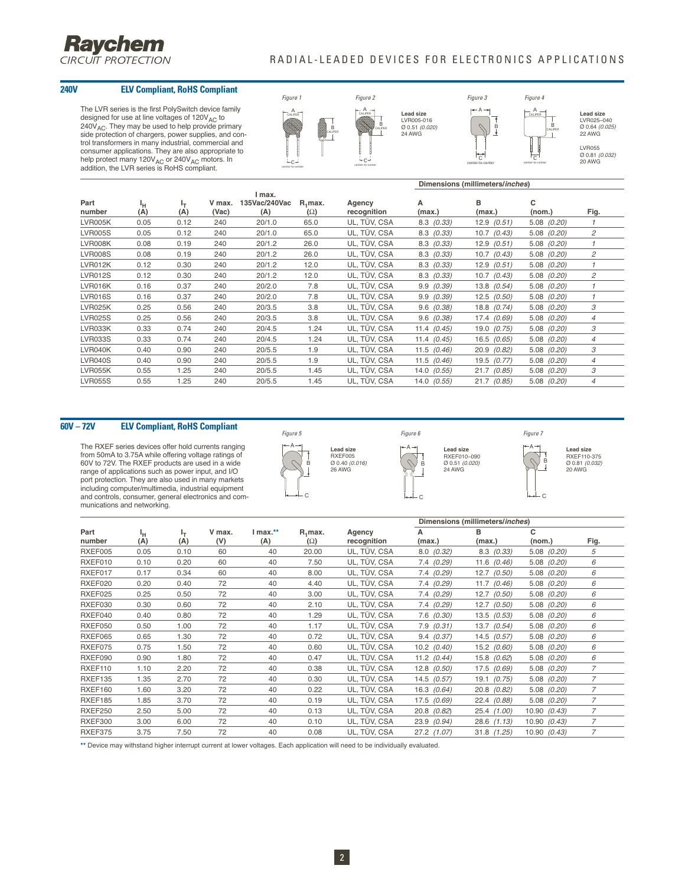

#### RADIAL-LEADED DEVICES FOR ELECTRONICS APPLICATIONS

### **240V ELV Compliant, RoHS Compliant**

The LVR series is the first PolySwitch device family<br>designed for use at line voltages of 120V<sub>AC</sub> to  $240V_{AC}$ . They may be used to help provide primary side protection of chargers, power supplies, and control transformers in many industrial, commercial and<br>consumer applications. They are also appropriate to<br>help protect many 120V<sub>AC</sub> or 240V<sub>AC</sub> motors. In<br>addition, the LVR series is RoHS compliant.



|                |           |           |                 |                                |                          |                       |                    | Dimensions (millimeters/inches) |                 |                |
|----------------|-----------|-----------|-----------------|--------------------------------|--------------------------|-----------------------|--------------------|---------------------------------|-----------------|----------------|
| Part<br>number | ١н<br>(A) | ŀτ<br>(A) | V max.<br>(Vac) | I max.<br>135Vac/240Vac<br>(A) | $R_1$ max.<br>$(\Omega)$ | Agency<br>recognition | А<br>(max.)        | B<br>(max.)                     | c<br>(nom.)     | Fig.           |
| LVR005K        | 0.05      | 0.12      | 240             | 20/1.0                         | 65.0                     | UL, TÜV, CSA          | $8.3 \quad (0.33)$ | $12.9$ $(0.51)$                 | 5.08 (0.20)     |                |
| <b>LVR005S</b> | 0.05      | 0.12      | 240             | 20/1.0                         | 65.0                     | UL, TÜV, CSA          | $8.3 \quad (0.33)$ | $10.7$ $(0.43)$                 | $5.08$ $(0.20)$ | 2              |
| LVR008K        | 0.08      | 0.19      | 240             | 20/1.2                         | 26.0                     | UL, TÜV, CSA          | $8.3$ $(0.33)$     | $12.9$ $(0.51)$                 | 5.08 (0.20)     |                |
| <b>LVR008S</b> | 0.08      | 0.19      | 240             | 20/1.2                         | 26.0                     | UL, TÜV, CSA          | $8.3$ $(0.33)$     | $10.7$ $(0.43)$                 | 5.08 (0.20)     | 2              |
| <b>LVR012K</b> | 0.12      | 0.30      | 240             | 20/1.2                         | 12.0                     | UL, TÜV, CSA          | $8.3$ $(0.33)$     | 12.9(0.51)                      | 5.08 (0.20)     |                |
| <b>LVR012S</b> | 0.12      | 0.30      | 240             | 20/1.2                         | 12.0                     | UL, TÜV, CSA          | $8.3 \quad (0.33)$ | $10.7$ $(0.43)$                 | $5.08$ $(0.20)$ | 2              |
| LVR016K        | 0.16      | 0.37      | 240             | 20/2.0                         | 7.8                      | UL, TÜV, CSA          | 9.9(0.39)          | 13.8 (0.54)                     | 5.08 (0.20)     |                |
| LVR016S        | 0.16      | 0.37      | 240             | 20/2.0                         | 7.8                      | UL, TÜV, CSA          | 9.9(0.39)          | $12.5$ $(0.50)$                 | 5.08 (0.20)     |                |
| <b>LVR025K</b> | 0.25      | 0.56      | 240             | 20/3.5                         | 3.8                      | UL, TÜV, CSA          | $9.6$ $(0.38)$     | $18.8$ $(0.74)$                 | 5.08 (0.20)     | 3              |
| <b>LVR025S</b> | 0.25      | 0.56      | 240             | 20/3.5                         | 3.8                      | UL, TÜV, CSA          | $9.6$ $(0.38)$     | 17.4 (0.69)                     | 5.08 (0.20)     | $\overline{4}$ |
| LVR033K        | 0.33      | 0.74      | 240             | 20/4.5                         | 1.24                     | UL, TÜV, CSA          | 11.4 $(0.45)$      | $19.0$ $(0.75)$                 | 5.08 (0.20)     | 3              |
| <b>LVR033S</b> | 0.33      | 0.74      | 240             | 20/4.5                         | 1.24                     | UL, TÜV, CSA          | $11.4$ $(0.45)$    | $16.5$ (0.65)                   | 5.08 (0.20)     | $\overline{4}$ |
| LVR040K        | 0.40      | 0.90      | 240             | 20/5.5                         | 1.9                      | UL, TÜV, CSA          | 11.5 $(0.46)$      | 20.9 (0.82)                     | 5.08 (0.20)     | 3              |
| <b>LVR040S</b> | 0.40      | 0.90      | 240             | 20/5.5                         | 1.9                      | UL, TÜV, CSA          | 11.5 $(0.46)$      | $19.5$ $(0.77)$                 | 5.08 (0.20)     | $\overline{4}$ |
| <b>LVR055K</b> | 0.55      | 1.25      | 240             | 20/5.5                         | 1.45                     | UL, TÜV, CSA          | 14.0 (0.55)        | 21.7<br>(0.85)                  | 5.08 (0.20)     | 3              |
| <b>LVR055S</b> | 0.55      | 1.25      | 240             | 20/5.5                         | 1.45                     | UL, TÜV, CSA          | $14.0$ $(0.55)$    | 21.7 (0.85)                     | 5.08 (0.20)     | $\overline{4}$ |

#### **60V – 72V ELV Compliant, RoHS Compliant**

The RXEF series devices offer hold currents ranging from 50mA to 3.75A while offering voltage ratings of 60V to 72V. The RXEF products are used in a wide range of applications such as power input, and I/O port protection. They are also used in many markets including computer/multimedia, industrial equipment and controls, consumer, general electronics and com-munications and networking.





A B

 $\Omega$ 

 $-c$ 

**Lead size** RXEF010–090<br>Ø 0.51 *(0.020)*<br>24 AWG



B

C

**Lead size** RXEF110-375<br>Ø 0.81 *(0.032)*<br>20 AWG

|                |           |           |               |                 |                          |                       | Dimensions (millimeters/inches) |                 |                 |                |
|----------------|-----------|-----------|---------------|-----------------|--------------------------|-----------------------|---------------------------------|-----------------|-----------------|----------------|
| Part<br>number | Ιн<br>(A) | ŀт<br>(A) | V max.<br>(V) | $Imax.*$<br>(A) | $R_1$ max.<br>$(\Omega)$ | Agency<br>recognition | А<br>(max.)                     | в<br>(max.)     | c<br>(nom.)     | Fig.           |
| RXEF005        | 0.05      | 0.10      | 60            | 40              | 20.00                    | UL, TÜV, CSA          | 8.0(0.32)                       | $8.3$ $(0.33)$  | $5.08$ $(0.20)$ | 5              |
| RXEF010        | 0.10      | 0.20      | 60            | 40              | 7.50                     | UL, TÜV, CSA          | $7.4$ $(0.29)$                  | 11.6 $(0.46)$   | $5.08$ $(0.20)$ | 6              |
| RXEF017        | 0.17      | 0.34      | 60            | 40              | 8.00                     | UL, TÜV, CSA          | $7.4$ $(0.29)$                  | $12.7$ $(0.50)$ | (0.20)<br>5.08  | 6              |
| RXEF020        | 0.20      | 0.40      | 72            | 40              | 4.40                     | UL, TÜV, CSA          | $7.4$ $(0.29)$                  | 11.7 $(0.46)$   | $5.08$ $(0.20)$ | 6              |
| RXEF025        | 0.25      | 0.50      | 72            | 40              | 3.00                     | UL, TÜV, CSA          | 7.4 (0.29)                      | $12.7$ $(0.50)$ | $5.08$ $(0.20)$ | 6              |
| RXEF030        | 0.30      | 0.60      | 72            | 40              | 2.10                     | UL, TÜV, CSA          | 7.4 (0.29)                      | $12.7$ $(0.50)$ | $5.08$ $(0.20)$ | 6              |
| RXEF040        | 0.40      | 0.80      | 72            | 40              | 1.29                     | UL, TÜV, CSA          | $7.6$ $(0.30)$                  | $13.5$ $(0.53)$ | $5.08$ $(0.20)$ | 6              |
| RXEF050        | 0.50      | 1.00      | 72            | 40              | 1.17                     | UL, TÜV, CSA          | $7.9$ $(0.31)$                  | $13.7$ $(0.54)$ | (0.20)<br>5.08  | 6              |
| RXEF065        | 0.65      | 1.30      | 72            | 40              | 0.72                     | UL, TÜV, CSA          | 9.4(0.37)                       | $14.5$ (0.57)   | $5.08$ $(0.20)$ | 6              |
| RXEF075        | 0.75      | 1.50      | 72            | 40              | 0.60                     | UL, TÜV, CSA          | $10.2$ $(0.40)$                 | $15.2$ (0.60)   | $5.08$ $(0.20)$ | 6              |
| RXEF090        | 0.90      | 1.80      | 72            | 40              | 0.47                     | UL, TÜV, CSA          | 11.2 $(0.44)$                   | 15.8 (0.62)     | $5.08$ $(0.20)$ | 6              |
| RXEF110        | 1.10      | 2.20      | 72            | 40              | 0.38                     | UL, TÜV, CSA          | $12.8$ $(0.50)$                 | $17.5$ $(0.69)$ | $5.08$ $(0.20)$ | $\overline{7}$ |
| RXEF135        | 1.35      | 2.70      | 72            | 40              | 0.30                     | UL, TÜV, CSA          | $14.5$ $(0.57)$                 | $19.1$ $(0.75)$ | 5.08<br>(0.20)  | 7              |
| RXEF160        | 1.60      | 3.20      | 72            | 40              | 0.22                     | UL, TÜV, CSA          | 16.3 (0.64)                     | 20.8 (0.82)     | $5.08$ $(0.20)$ | 7              |
| RXEF185        | 1.85      | 3.70      | 72            | 40              | 0.19                     | UL, TÜV, CSA          | $17.5$ $(0.69)$                 | 22.4 (0.88)     | $5.08$ $(0.20)$ | 7              |
| <b>RXEF250</b> | 2.50      | 5.00      | 72            | 40              | 0.13                     | UL, TÜV, CSA          | 20.8 (0.82)                     | 25.4 (1.00)     | 10.90(0.43)     | 7              |
| <b>RXEF300</b> | 3.00      | 6.00      | 72            | 40              | 0.10                     | UL, TÜV, CSA          | 23.9 (0.94)                     | 28.6 (1.13)     | 10.90 (0.43)    | $\overline{7}$ |
| RXEF375        | 3.75      | 7.50      | 72            | 40              | 0.08                     | UL, TÜV, CSA          | $27.2$ $(1.07)$                 | 31.8 (1.25)     | 10.90(0.43)     | 7              |
|                |           |           |               |                 |                          |                       |                                 |                 |                 |                |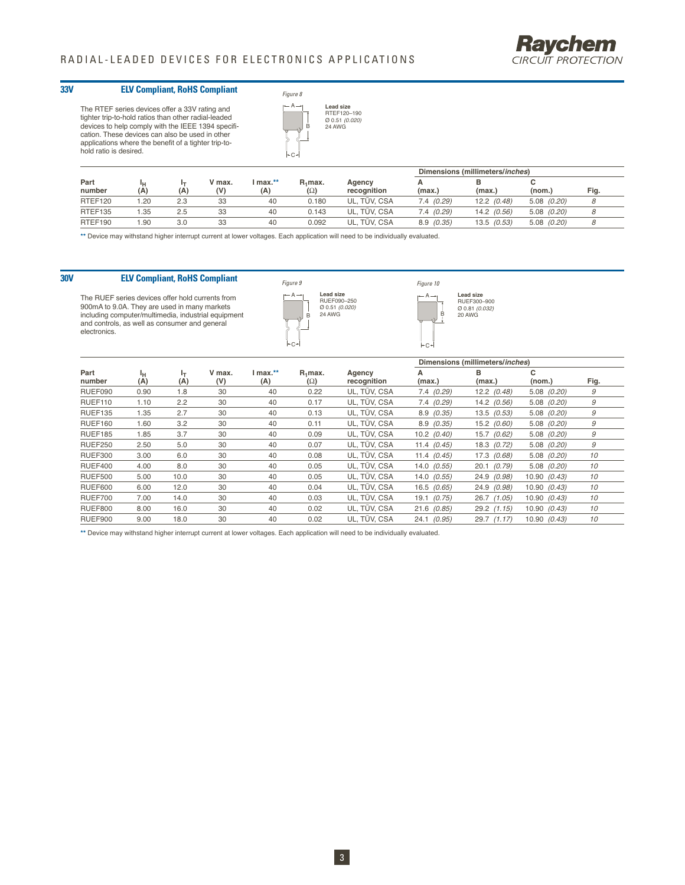

#### **33V ELV Compliant, RoHS Compliant**

The RTEF series devices offer a 33V rating and tighter trip-to-hold ratios than other radial-leaded devices to help comply with the IEEE 1394 specification. These devices can also be used in other applications where the benefit of a tighter trip-to-hold ratio is desired.



|                |           |     |               |                 |                          |                       | Dimensions (millimeters/inches) |                 |                 |      |
|----------------|-----------|-----|---------------|-----------------|--------------------------|-----------------------|---------------------------------|-----------------|-----------------|------|
| Part<br>number | ٠н<br>(A, | (A) | V max.<br>(V) | l max.**<br>(A) | $R_1$ max.<br>$(\Omega)$ | Agency<br>recognition | (max.)                          | (max.)          | (nom.)          | Fig. |
| RTEF120        | .20       | 2.3 | 33            | 40              | 0.180                    | UL. TÜV. CSA          | 7.4 (0.29)                      | $12.2$ $(0.48)$ | $5.08$ $(0.20)$ |      |
| RTEF135        | .35       | 2.5 | 33            | 40              | 0.143                    | UL. TÜV. CSA          | 7.4(0.29)                       | $14.2$ (0.56)   | $5.08$ $(0.20)$ |      |
| RTEF190        | .90       | 3.0 | 33            | 40              | 0.092                    | UL. TÜV. CSA          | 8.9(0.35)                       | $13.5$ $(0.53)$ | $5.08$ $(0.20)$ |      |

**\*\*** Device may withstand higher interrupt current at lower voltages. Each application will need to be individually evaluated.

#### **30V ELV Compliant, RoHS Compliant**

The RUEF series devices offer hold currents from 900mA to 9.0A. They are used in many markets including computer/multimedia, industrial equipment and controls, as well as consumer and general electronics.



B **Lead size**<br>RUEF300–900<br>Ø 0.81 *(0.032)* 20 AWG

Figure 10  $- A -$ 

C

|                |           |           |               |                 |                          |                       |                 | Dimensions (millimeters/inches) |                 |      |
|----------------|-----------|-----------|---------------|-----------------|--------------------------|-----------------------|-----------------|---------------------------------|-----------------|------|
| Part<br>number | ١н<br>(A) | lτ<br>(A) | V max.<br>(V) | I max.**<br>(A) | $R_1$ max.<br>$(\Omega)$ | Agency<br>recognition | А<br>(max.)     | в<br>(max.)                     | с<br>(nom.)     | Fig. |
| RUEF090        | 0.90      | 1.8       | 30            | 40              | 0.22                     | UL, TÜV, CSA          | 7.4(0.29)       | $12.2$ $(0.48)$                 | $5.08$ $(0.20)$ | 9    |
| RUEF110        | 1.10      | 2.2       | 30            | 40              | 0.17                     | UL. TÜV. CSA          | 7.4(0.29)       | $14.2$ (0.56)                   | $5.08$ $(0.20)$ | 9    |
| RUEF135        | 1.35      | 2.7       | 30            | 40              | 0.13                     | UL, TÜV, CSA          | 8.9(0.35)       | $13.5$ $(0.53)$                 | $5.08$ $(0.20)$ | 9    |
| <b>RUEF160</b> | 1.60      | 3.2       | 30            | 40              | 0.11                     | UL, TÜV, CSA          | 8.9(0.35)       | $15.2$ (0.60)                   | $5.08$ $(0.20)$ | 9    |
| RUEF185        | 1.85      | 3.7       | 30            | 40              | 0.09                     | UL, TÜV, CSA          | $10.2$ $(0.40)$ | $15.7$ $(0.62)$                 | $5.08$ $(0.20)$ | 9    |
| <b>RUEF250</b> | 2.50      | 5.0       | 30            | 40              | 0.07                     | UL, TÜV, CSA          | 11.4 $(0.45)$   | $18.3$ $(0.72)$                 | $5.08$ $(0.20)$ | 9    |
| <b>RUEF300</b> | 3.00      | 6.0       | 30            | 40              | 0.08                     | UL, TÜV, CSA          | 11.4 $(0.45)$   | 17.3 (0.68)                     | $5.08$ $(0.20)$ | 10   |
| RUEF400        | 4.00      | 8.0       | 30            | 40              | 0.05                     | UL. TÜV. CSA          | $14.0$ $(0.55)$ | $20.1$ $(0.79)$                 | $5.08$ $(0.20)$ | 10   |
| <b>RUEF500</b> | 5.00      | 10.0      | 30            | 40              | 0.05                     | UL. TÜV. CSA          | $14.0$ (0.55)   | 24.9 (0.98)                     | 10.90 (0.43)    | 10   |
| <b>RUEF600</b> | 6.00      | 12.0      | 30            | 40              | 0.04                     | UL, TÜV, CSA          | $16.5$ $(0.65)$ | 24.9 (0.98)                     | 10.90 (0.43)    | 10   |
| RUEF700        | 7.00      | 14.0      | 30            | 40              | 0.03                     | UL. TÜV. CSA          | $19.1$ $(0.75)$ | $26.7$ $(1.05)$                 | 10.90(0.43)     | 10   |
| <b>RUEF800</b> | 8.00      | 16.0      | 30            | 40              | 0.02                     | UL, TÜV, CSA          | $21.6$ (0.85)   | $29.2$ $(1.15)$                 | 10.90 (0.43)    | 10   |
| RUEF900        | 9.00      | 18.0      | 30            | 40              | 0.02                     | UL, TÜV, CSA          | 24.1 (0.95)     | $29.7$ $(1.17)$                 | 10.90 (0.43)    | 10   |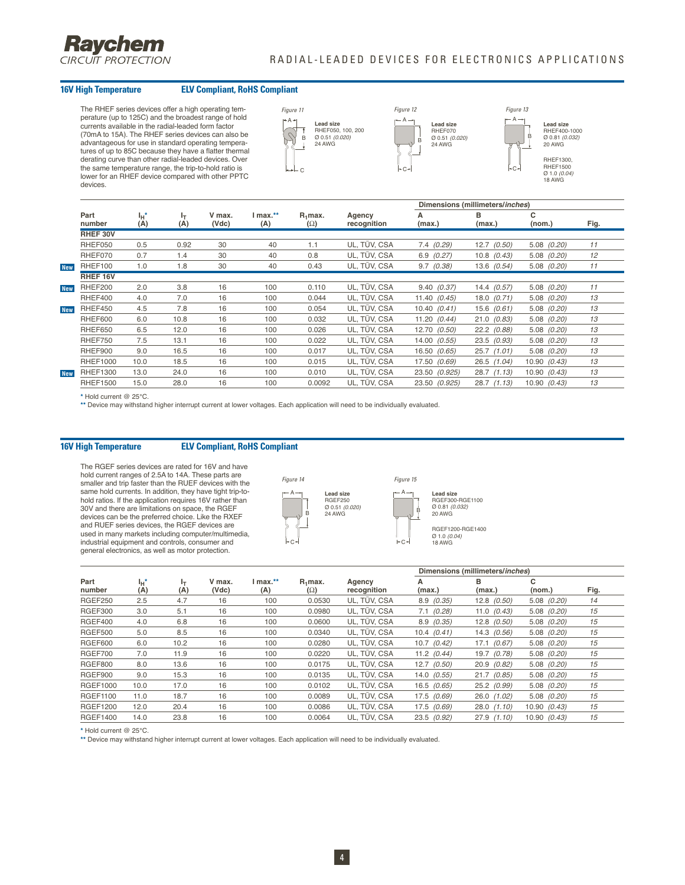

#### **16V High Temperature ELV Compliant, RoHS Compliant**

The RHEF series devices offer a high operating temperature (up to 125C) and the broadest range of hold currents available in the radial-leaded form factor (70mA to 15A). The RHEF series devices can also be advantageous for use in standard operating tempera-tures of up to 85C because they have a flatter thermal derating curve than other radial-leaded devices. Over the same temperature range, the trip-to-hold ratio is lower for an RHEF device compared with other PPTC devices.





B

RHEF1500 Ø 1.0 (0.04) 18 AWG

|            |                 |                |           |                 |                 |                          |                       | Dimensions (millimeters/inches) |                 |                 |      |
|------------|-----------------|----------------|-----------|-----------------|-----------------|--------------------------|-----------------------|---------------------------------|-----------------|-----------------|------|
|            | Part<br>number  | $I_H$ *<br>(A) | ŀτ<br>(A) | V max.<br>(Vdc) | I max.**<br>(A) | $R_1$ max.<br>$(\Omega)$ | Agency<br>recognition | А<br>(max.)                     | в<br>(max.)     | c<br>(nom.)     | Fig. |
|            | RHEF 30V        |                |           |                 |                 |                          |                       |                                 |                 |                 |      |
|            | RHEF050         | 0.5            | 0.92      | 30              | 40              | 1.1                      | UL, TÜV, CSA          | $7.4$ $(0.29)$                  | $12.7$ $(0.50)$ | $5.08$ $(0.20)$ | 11   |
|            | RHEF070         | 0.7            | 1.4       | 30              | 40              | 0.8                      | UL. TÜV. CSA          | $6.9$ $(0.27)$                  | $10.8$ $(0.43)$ | $5.08$ $(0.20)$ | 12   |
| <b>New</b> | RHEF100         | 1.0            | 1.8       | 30              | 40              | 0.43                     | UL, TÜV, CSA          | $9.7$ $(0.38)$                  | $13.6$ $(0.54)$ | $5.08$ $(0.20)$ | 11   |
|            | RHEF 16V        |                |           |                 |                 |                          |                       |                                 |                 |                 |      |
| <b>New</b> | RHEF200         | 2.0            | 3.8       | 16              | 100             | 0.110                    | UL, TÜV, CSA          | 9.40(0.37)                      | $14.4$ $(0.57)$ | $5.08$ $(0.20)$ | 11   |
|            | RHEF400         | 4.0            | 7.0       | 16              | 100             | 0.044                    | UL, TÜV, CSA          | 11.40 $(0.45)$                  | 18.0 (0.71)     | 5.08 (0.20)     | 13   |
| <b>New</b> | RHEF450         | 4.5            | 7.8       | 16              | 100             | 0.054                    | UL, TÜV, CSA          | 10.40 (0.41)                    | $15.6$ $(0.61)$ | 5.08 (0.20)     | 13   |
|            | RHEF600         | 6.0            | 10.8      | 16              | 100             | 0.032                    | UL, TÜV, CSA          | 11.20(0.44)                     | 21.0(0.83)      | $5.08$ $(0.20)$ | 13   |
|            | RHEF650         | 6.5            | 12.0      | 16              | 100             | 0.026                    | UL, TÜV, CSA          | 12.70 (0.50)                    | $22.2$ $(0.88)$ | $5.08$ $(0.20)$ | 13   |
|            | RHEF750         | 7.5            | 13.1      | 16              | 100             | 0.022                    | UL, TÜV, CSA          | 14.00 (0.55)                    | 23.5(0.93)      | $5.08$ $(0.20)$ | 13   |
|            | RHEF900         | 9.0            | 16.5      | 16              | 100             | 0.017                    | UL, TÜV, CSA          | 16.50 (0.65)                    | $25.7$ $(1.01)$ | $5.08$ $(0.20)$ | 13   |
|            | <b>RHEF1000</b> | 10.0           | 18.5      | 16              | 100             | 0.015                    | UL, TÜV, CSA          | 17.50 (0.69)                    | 26.5 (1.04)     | 10.90 (0.43)    | 13   |
| <b>New</b> | <b>RHEF1300</b> | 13.0           | 24.0      | 16              | 100             | 0.010                    | UL. TÜV. CSA          | 23.50 (0.925)                   | $28.7$ $(1.13)$ | 10.90 (0.43)    | 13   |
|            | <b>RHEF1500</b> | 15.0           | 28.0      | 16              | 100             | 0.0092                   | UL. TÜV. CSA          | 23.50 (0.925)                   | $28.7$ $(1.13)$ | 10.90 (0.43)    | 13   |

**\*** Hold current @ 25°C.

**\*\*** Device may withstand higher interrupt current at lower voltages. Each application will need to be individually evaluated.

#### **16V High Temperature ELV Compliant, RoHS Compliant**

The RGEF series devices are rated for 16V and have hold current ranges of 2.5A to 14A. These parts are smaller and trip faster than the RUEF devices with the same hold currents. In addition, they have tight trip-tohold ratios. If the application requires 16V rather than 30V and there are limitations on space, the RGEF devices can be the preferred choice. Like the RXEF and RUEF series devices, the RGEF devices are used in many markets including computer/multimedia, industrial equipment and controls, consumer and general electronics, as well as motor protection.



Figure 15 B **Lead size** RGEF300-RGE1100 Ø 0.81 (0.032) 20 AWG RGEF1200-RGE1400 Ø 1.0 *(0.04)*<br>18 AWG

A

C

|                 |            |                     |                 |                 |                          |                       |                 | Dimensions (millimeters/inches) |                 |      |
|-----------------|------------|---------------------|-----------------|-----------------|--------------------------|-----------------------|-----------------|---------------------------------|-----------------|------|
| Part<br>number  | Чt*<br>(A) | $\mathbf{r}$<br>(A) | V max.<br>(Vdc) | I max.**<br>(A) | $R_1$ max.<br>$(\Omega)$ | Agency<br>recognition | А<br>(max.)     | в<br>(max.)                     | с<br>(nom.)     | Fig. |
| <b>RGEF250</b>  | 2.5        | 4.7                 | 16              | 100             | 0.0530                   | UL, TÜV, CSA          | $8.9$ $(0.35)$  | $12.8$ $(0.50)$                 | $5.08$ $(0.20)$ | 14   |
| RGEF300         | 3.0        | 5.1                 | 16              | 100             | 0.0980                   | UL, TÜV, CSA          | $7.1$ (0.28)    | 11.0 $(0.43)$                   | $5.08$ $(0.20)$ | 15   |
| RGEF400         | 4.0        | 6.8                 | 16              | 100             | 0.0600                   | UL, TÜV, CSA          | $8.9$ $(0.35)$  | $12.8$ $(0.50)$                 | $5.08$ $(0.20)$ | 15   |
| <b>RGEF500</b>  | 5.0        | 8.5                 | 16              | 100             | 0.0340                   | UL, TÜV, CSA          | 10.4(0.41)      | 14.3 (0.56)                     | $5.08$ $(0.20)$ | 15   |
| <b>RGEF600</b>  | 6.0        | 10.2                | 16              | 100             | 0.0280                   | UL. TÜV. CSA          | $10.7$ $(0.42)$ | $17.1$ $(0.67)$                 | $5.08$ $(0.20)$ | 15   |
| RGEF700         | 7.0        | 11.9                | 16              | 100             | 0.0220                   | UL, TÜV, CSA          | 11.2 $(0.44)$   | 19.7 (0.78)                     | $5.08$ $(0.20)$ | 15   |
| <b>RGEF800</b>  | 8.0        | 13.6                | 16              | 100             | 0.0175                   | UL, TÜV, CSA          | $12.7$ $(0.50)$ | 20.9(0.82)                      | $5.08$ $(0.20)$ | 15   |
| RGEF900         | 9.0        | 15.3                | 16              | 100             | 0.0135                   | UL, TÜV, CSA          | $14.0$ $(0.55)$ | $21.7$ (0.85)                   | $5.08$ $(0.20)$ | 15   |
| <b>RGEF1000</b> | 10.0       | 17.0                | 16              | 100             | 0.0102                   | UL, TÜV, CSA          | $16.5$ $(0.65)$ | 25.2(0.99)                      | $5.08$ $(0.20)$ | 15   |
| <b>RGEF1100</b> | 11.0       | 18.7                | 16              | 100             | 0.0089                   | UL, TÜV, CSA          | $17.5$ $(0.69)$ | $26.0$ $(1.02)$                 | $5.08$ $(0.20)$ | 15   |
| <b>RGEF1200</b> | 12.0       | 20.4                | 16              | 100             | 0.0086                   | UL. TÜV. CSA          | 17.5(0.69)      | 28.0(1.10)                      | 10.90 (0.43)    | 15   |
| <b>RGEF1400</b> | 14.0       | 23.8                | 16              | 100             | 0.0064                   | UL. TÜV. CSA          | $23.5$ $(0.92)$ | 27.9(1.10)                      | 10.90 (0.43)    | 15   |

**\*** Hold current @ 25°C.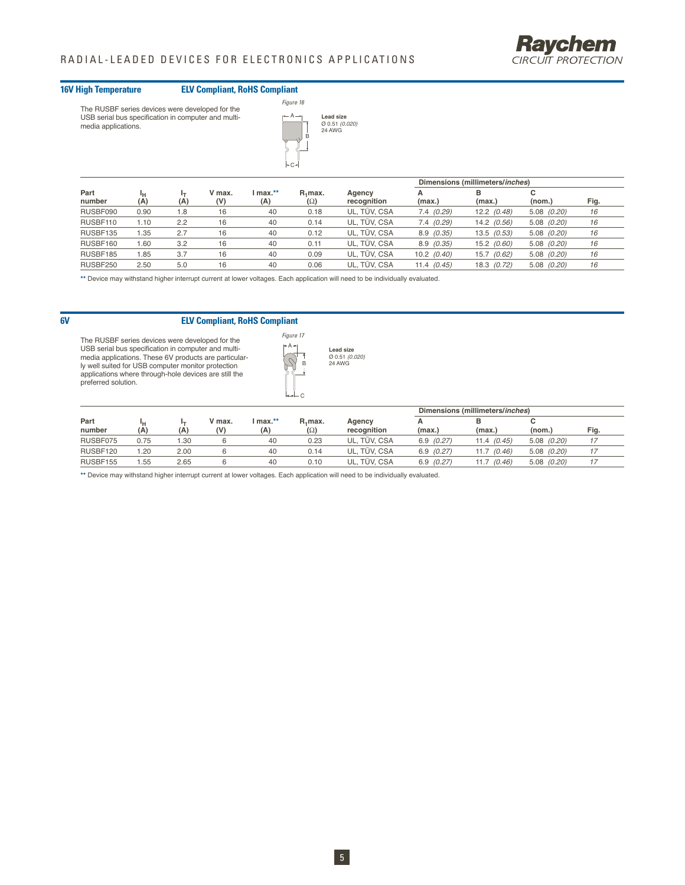#### **16V High Temperature ELV Compliant, RoHS Compliant**





|                |      |     |               |                 |                                   |                       | Dimensions (millimeters/ <i>inches</i> ) |                 |                 |      |
|----------------|------|-----|---------------|-----------------|-----------------------------------|-----------------------|------------------------------------------|-----------------|-----------------|------|
| Part<br>number | (A)  | (A) | V max.<br>(V) | I max.**<br>(A) | R <sub>i</sub> max.<br>$(\Omega)$ | Agency<br>recognition | (max.)                                   | в<br>(max.)     | с<br>(nom.)     | Fig. |
| RUSBF090       | 0.90 | 1.8 | 16            | 40              | 0.18                              | UL. TÜV. CSA          | 7.4(0.29)                                | $12.2$ $(0.48)$ | $5.08$ $(0.20)$ | 16   |
| RUSBF110       | 1.10 | 2.2 | 16            | 40              | 0.14                              | UL. TÜV. CSA          | 7.4(0.29)                                | 14.2 (0.56)     | $5.08$ $(0.20)$ | 16   |
| RUSBF135       | . 35 | 2.7 | 16            | 40              | 0.12                              | UL. TÜV. CSA          | 8.9(0.35)                                | 13.5 (0.53)     | $5.08$ $(0.20)$ | 16   |
| RUSBF160       | .60  | 3.2 | 16            | 40              | 0.11                              | UL. TÜV. CSA          | 8.9(0.35)                                | 15.2 (0.60)     | $5.08$ $(0.20)$ | 16   |
| RUSBF185       | 85،، | 3.7 | 16            | 40              | 0.09                              | UL. TÜV. CSA          | $10.2$ $(0.40)$                          | 15.7 (0.62)     | $5.08$ $(0.20)$ | 16   |
| RUSBF250       | 2.50 | 5.0 | 16            | 40              | 0.06                              | UL, TÜV, CSA          | 11.4 $(0.45)$                            | 18.3 (0.72)     | $5.08$ $(0.20)$ | 16   |
|                |      |     |               |                 |                                   |                       |                                          |                 |                 |      |

**\*\*** Device may withstand higher interrupt current at lower voltages. Each application will need to be individually evaluated.

### **6V ELV Compliant, RoHS Compliant**

The RUSBF series devices were developed for the USB serial bus specification in computer and multimedia applications. These 6V products are particularly well suited for USB computer monitor protection applications where through-hole devices are still the preferred solution.



C

|          |      |      |               |          |            |              | Dimensions (millimeters/inches) |                  |                 |      |  |
|----------|------|------|---------------|----------|------------|--------------|---------------------------------|------------------|-----------------|------|--|
| Part     | ٠н   |      | V max.<br>(V) | l max.** | $R_1$ max. | Agency       |                                 |                  |                 |      |  |
| number   | (A   | (A)  |               | (A)      | $(\Omega)$ | recognition  | (max.)                          | (max.            | (nom.)          | Fig. |  |
| RUSBF075 | 0.75 | l.30 |               | 40       | 0.23       | UL. TÜV. CSA | 6.9(0.27)                       | 11.4(0.45)       | $5.08$ $(0.20)$ |      |  |
| RUSBF120 | .20  | 2.00 |               | 40       | 0.14       | UL. TÜV. CSA | 6.9(0.27)                       | 11.7(0.46)       | $5.08$ $(0.20)$ |      |  |
| RUSBF155 | .55  | 2.65 |               | 40       | 0.10       | UL, TÜV, CSA | 6.9(0.27)                       | 11.7<br>' (0.46) | $5.08$ $(0.20)$ |      |  |

**Lead size**<br>Ø 0.51 *(0.020)*<br>24 AWG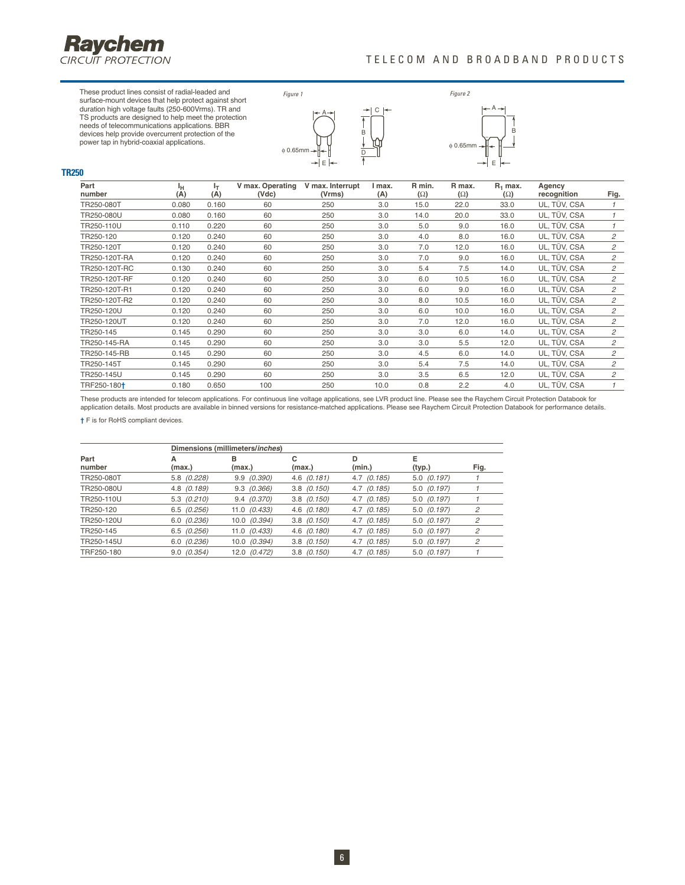

**TR250**

These product lines consist of radial-leaded and surface-mount devices that help protect against short duration high voltage faults (250-600Vrms). TR and TS products are designed to help meet the protection needs of telecommunications applications. BBR devices help provide overcurrent protection of the power tap in hybrid-coaxial applications.



C

B



| Part<br>number          | ч<br>(A) | ŀт<br>(A) | V max. Operating<br>(Vdc) | V max. Interrupt<br>(Vrms) | I max.<br>(A) | R min.<br>$(\Omega)$ | R max.<br>$(\Omega)$ | $R_1$ max.<br>$(\Omega)$ | Agency<br>recognition | Fig.           |
|-------------------------|----------|-----------|---------------------------|----------------------------|---------------|----------------------|----------------------|--------------------------|-----------------------|----------------|
| TR250-080T              | 0.080    | 0.160     | 60                        | 250                        | 3.0           | 15.0                 | 22.0                 | 33.0                     | UL, TÜV, CSA          | $\mathcal I$   |
| TR250-080U              | 0.080    | 0.160     | 60                        | 250                        | 3.0           | 14.0                 | 20.0                 | 33.0                     | UL, TÜV, CSA          | $\mathcal I$   |
| TR250-110U              | 0.110    | 0.220     | 60                        | 250                        | 3.0           | 5.0                  | 9.0                  | 16.0                     | UL, TÜV, CSA          | $\mathcal I$   |
| TR250-120               | 0.120    | 0.240     | 60                        | 250                        | 3.0           | 4.0                  | 8.0                  | 16.0                     | UL, TÜV, CSA          | $\overline{c}$ |
| TR250-120T              | 0.120    | 0.240     | 60                        | 250                        | 3.0           | 7.0                  | 12.0                 | 16.0                     | UL, TÜV, CSA          | 2              |
| TR250-120T-RA           | 0.120    | 0.240     | 60                        | 250                        | 3.0           | 7.0                  | 9.0                  | 16.0                     | UL, TÜV, CSA          | $\mathfrak{p}$ |
| TR250-120T-RC           | 0.130    | 0.240     | 60                        | 250                        | 3.0           | 5.4                  | 7.5                  | 14.0                     | UL, TÜV, CSA          | $\mathfrak{p}$ |
| TR250-120T-RF           | 0.120    | 0.240     | 60                        | 250                        | 3.0           | 6.0                  | 10.5                 | 16.0                     | UL, TÜV, CSA          | 2              |
| TR250-120T-R1           | 0.120    | 0.240     | 60                        | 250                        | 3.0           | 6.0                  | 9.0                  | 16.0                     | UL, TÜV, CSA          | 2              |
| TR250-120T-R2           | 0.120    | 0.240     | 60                        | 250                        | 3.0           | 8.0                  | 10.5                 | 16.0                     | UL, TÜV, CSA          | 2              |
| TR250-120U              | 0.120    | 0.240     | 60                        | 250                        | 3.0           | 6.0                  | 10.0                 | 16.0                     | UL, TÜV, CSA          | $\mathfrak{p}$ |
| TR250-120UT             | 0.120    | 0.240     | 60                        | 250                        | 3.0           | 7.0                  | 12.0                 | 16.0                     | UL, TÜV, CSA          | $\mathfrak{p}$ |
| TR250-145               | 0.145    | 0.290     | 60                        | 250                        | 3.0           | 3.0                  | 6.0                  | 14.0                     | UL, TÜV, CSA          | $\overline{c}$ |
| TR250-145-RA            | 0.145    | 0.290     | 60                        | 250                        | 3.0           | 3.0                  | 5.5                  | 12.0                     | UL, TÜV, CSA          | $\overline{c}$ |
| TR250-145-RB            | 0.145    | 0.290     | 60                        | 250                        | 3.0           | 4.5                  | 6.0                  | 14.0                     | UL, TÜV, CSA          | $\mathfrak{p}$ |
| TR250-145T              | 0.145    | 0.290     | 60                        | 250                        | 3.0           | 5.4                  | 7.5                  | 14.0                     | UL, TÜV, CSA          | $\mathfrak{p}$ |
| TR250-145U              | 0.145    | 0.290     | 60                        | 250                        | 3.0           | 3.5                  | 6.5                  | 12.0                     | UL, TÜV, CSA          | 2              |
| TRF250-180 <sup>+</sup> | 0.180    | 0.650     | 100                       | 250                        | 10.0          | 0.8                  | 2.2                  | 4.0                      | UL, TÜV, CSA          |                |

These products are intended for telecom applications. For continuous line voltage applications, see LVR product line. Please see the Raychem Circuit Protection Databook for application details. Most products are available in binned versions for resistance-matched applications. Please see Raychem Circuit Protection Databook for performance details.

**†** F is for RoHS compliant devices.

|                |                 | Dimensions (millimeters/inches) |                 |                 |                 |                |
|----------------|-----------------|---------------------------------|-----------------|-----------------|-----------------|----------------|
| Part<br>number | A<br>(max.)     | в<br>(max.)                     | с<br>(max.)     | D<br>(min.)     | Е<br>(typ.)     | Fig.           |
| TR250-080T     | 5.8 (0.228)     | 9.9(0.390)                      | $4.6$ $(0.181)$ | $4.7$ $(0.185)$ | $5.0$ $(0.197)$ |                |
| TR250-080U     | 4.8 (0.189)     | $9.3 \quad (0.366)$             | $3.8$ $(0.150)$ | $4.7$ $(0.185)$ | $5.0$ $(0.197)$ |                |
| TR250-110U     | $5.3$ $(0.210)$ | $9.4$ $(0.370)$                 | $3.8$ $(0.150)$ | $4.7$ $(0.185)$ | $5.0$ $(0.197)$ |                |
| TR250-120      | $6.5$ $(0.256)$ | $11.0$ $(0.433)$                | $4.6$ $(0.180)$ | $4.7$ $(0.185)$ | $5.0$ $(0.197)$ | 2              |
| TR250-120U     | $6.0$ $(0.236)$ | $10.0$ $(0.394)$                | $3.8$ $(0.150)$ | $4.7$ $(0.185)$ | $5.0$ $(0.197)$ | 2              |
| TR250-145      | $6.5$ $(0.256)$ | $11.0$ $(0.433)$                | $4.6$ $(0.180)$ | $4.7$ $(0.185)$ | $5.0$ $(0.197)$ | $\overline{c}$ |
| TR250-145U     | $6.0$ $(0.236)$ | $10.0$ $(0.394)$                | $3.8$ $(0.150)$ | $4.7$ $(0.185)$ | $5.0$ $(0.197)$ | 2              |
| TRF250-180     | $9.0$ $(0.354)$ | 12.0 (0.472)                    | $3.8$ $(0.150)$ | $4.7$ $(0.185)$ | $5.0$ $(0.197)$ |                |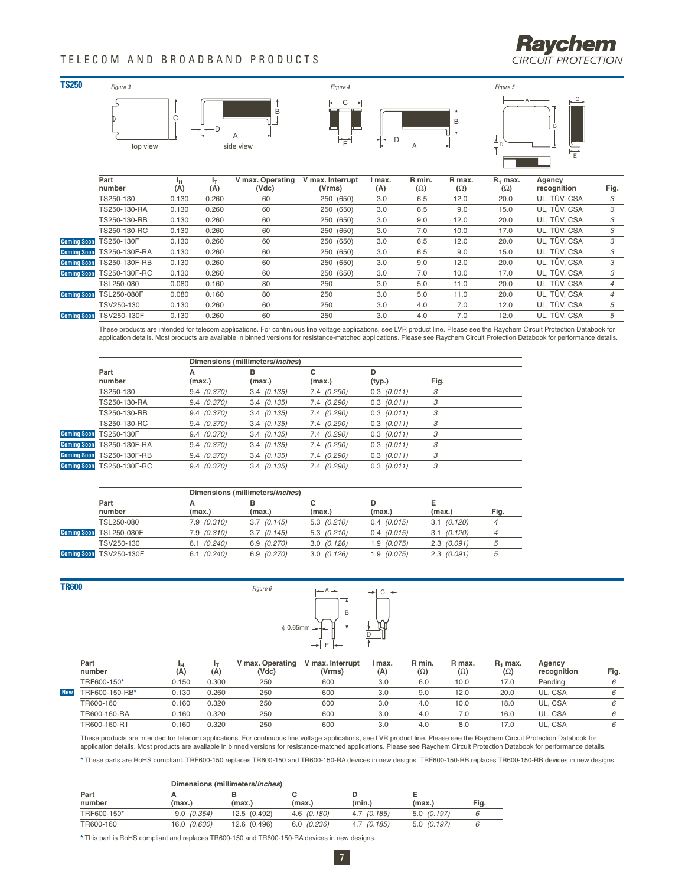### TELECOM AND BROADBAND PRODUCTS





|                    | Part               |       |       | V max. Operating | V max. Interrupt | max. | R min.     | R max.     | $R_1$ max. | Agency       |                |
|--------------------|--------------------|-------|-------|------------------|------------------|------|------------|------------|------------|--------------|----------------|
|                    | number             | (A)   | (A)   | (Vdc)            | (Vrms)           | (A)  | $(\Omega)$ | $(\Omega)$ | $(\Omega)$ | recognition  | Fig.           |
|                    | TS250-130          | 0.130 | 0.260 | 60               | 250 (650)        | 3.0  | 6.5        | 12.0       | 20.0       | UL, TÜV, CSA | 3              |
|                    | TS250-130-RA       | 0.130 | 0.260 | 60               | 250 (650)        | 3.0  | 6.5        | 9.0        | 15.0       | UL, TÜV, CSA | 3              |
|                    | TS250-130-RB       | 0.130 | 0.260 | 60               | 250 (650)        | 3.0  | 9.0        | 12.0       | 20.0       | UL. TÜV. CSA | 3              |
|                    | TS250-130-RC       | 0.130 | 0.260 | 60               | 250 (650)        | 3.0  | 7.0        | 10.0       | 17.0       | UL, TÜV, CSA | 3              |
| <b>Coming Soon</b> | TS250-130F         | 0.130 | 0.260 | 60               | 250 (650)        | 3.0  | 6.5        | 12.0       | 20.0       | UL. TÜV. CSA | 3              |
| <b>Coming Soon</b> | TS250-130F-RA      | 0.130 | 0.260 | 60               | 250 (650)        | 3.0  | 6.5        | 9.0        | 15.0       | UL. TÜV. CSA | 3              |
| <b>Comina Soon</b> | TS250-130F-RB      | 0.130 | 0.260 | 60               | 250 (650)        | 3.0  | 9.0        | 12.0       | 20.0       | UL. TÜV. CSA | 3              |
| <b>Coming Soon</b> | TS250-130F-RC      | 0.130 | 0.260 | 60               | 250 (650)        | 3.0  | 7.0        | 10.0       | 17.0       | UL, TÜV, CSA | 3              |
|                    | TSL250-080         | 0.080 | 0.160 | 80               | 250              | 3.0  | 5.0        | 11.0       | 20.0       | UL. TÜV. CSA |                |
| <b>Coming Soon</b> | <b>TSL250-080F</b> | 0.080 | 0.160 | 80               | 250              | 3.0  | 5.0        | 11.0       | 20.0       | UL. TÜV. CSA | $\overline{4}$ |
|                    | TSV250-130         | 0.130 | 0.260 | 60               | 250              | 3.0  | 4.0        | 7.0        | 12.0       | UL. TÜV. CSA | 5              |
| <b>Coming Soon</b> | <b>TSV250-130F</b> | 0.130 | 0.260 | 60               | 250              | 3.0  | 4.0        | 7.0        | 12.0       | UL. TÜV. CSA | 5              |
|                    |                    |       |       |                  |                  |      |            |            |            |              |                |

These products are intended for telecom applications. For continuous line voltage applications, see LVR product line. Please see the Raychem Circuit Protection Databook for application details. Most products are available in binned versions for resistance-matched applications. Please see Raychem Circuit Protection Databook for performance details.

|                           | Dimensions (millimeters/inches) |               |             |                 |      |
|---------------------------|---------------------------------|---------------|-------------|-----------------|------|
| Part<br>number            | (max.)                          | в<br>(max.)   | c<br>(max.) | D<br>(typ.)     | Fig. |
| TS250-130                 | 9.4(0.370)                      | $3.4$ (0.135) | 7.4 (0.290) | $0.3$ $(0.011)$ | 3    |
| TS250-130-RA              | 9.4(0.370)                      | $3.4$ (0.135) | 7.4 (0.290) | $0.3$ $(0.011)$ | 3    |
| TS250-130-RB              | 9.4(0.370)                      | $3.4$ (0.135) | 7.4 (0.290) | $0.3$ $(0.011)$ | 3    |
| TS250-130-RC              | 9.4(0.370)                      | $3.4$ (0.135) | 7.4 (0.290) | $0.3$ $(0.011)$ | 3    |
| Coming Soon TS250-130F    | 9.4(0.370)                      | $3.4$ (0.135) | 7.4 (0.290) | $0.3$ $(0.011)$ | 3    |
| Coming Soon TS250-130F-RA | 9.4(0.370)                      | $3.4$ (0.135) | 7.4 (0.290) | $0.3$ $(0.011)$ | 3    |
| Coming Soon TS250-130F-RB | 9.4(0.370)                      | $3.4$ (0.135) | 7.4 (0.290) | $0.3$ $(0.011)$ | 3    |
| Coming Soon TS250-130F-RC | 9.4(0.370)                      | $3.4$ (0.135) | 7.4 (0.290) | $0.3$ $(0.011)$ | 3    |
|                           |                                 |               |             |                 |      |

|                    |                    |                     | Dimensions (millimeters/inches) |                 |                 |                     |                |
|--------------------|--------------------|---------------------|---------------------------------|-----------------|-----------------|---------------------|----------------|
|                    | Part<br>number     | (max.)              | (max.)                          | (max.)          | (max.)          | (max.)              | Fig.           |
|                    | TSL250-080         | $7.9$ $(0.310)$     | $3.7$ (0.145)                   | $5.3$ $(0.210)$ | $0.4$ $(0.015)$ | $3.1 \quad (0.120)$ | $\overline{4}$ |
| <b>Comina Soon</b> | TSL250-080F        | $7.9$ $(0.310)$     | 3.7(0.145)                      | $5.3$ $(0.210)$ | $0.4$ (0.015)   | $3.1 \quad (0.120)$ |                |
|                    | TSV250-130         | $6.1 \quad (0.240)$ | 6.9 (0.270)                     | 3.0(0.126)      | 1.9 (0.075)     | $2.3$ $(0.091)$     | 5              |
| <b>Comina Soon</b> | <b>TSV250-130F</b> | $6.1$ $(0.240)$     | 6.9 (0.270)                     | 3.0(0.126)      | 1.9 (0.075)     | 2.3(0.091)          | b              |



|                  | Part<br>number | (A)   | (A)   | V max. Operating<br>(Vdc) | V max. Interrupt<br>(Vrms) | max.<br>(A) | R min.<br>$(\Omega)$ | R max.<br>$(\Omega)$ | $R_1$ max.<br>$(\Omega)$ | Agency<br>recognition | Fig. |
|------------------|----------------|-------|-------|---------------------------|----------------------------|-------------|----------------------|----------------------|--------------------------|-----------------------|------|
|                  | TRF600-150*    | 0.150 | 0.300 | 250                       | 600                        | 3.0         | 6.0                  | 10.0                 | 17.0                     | Pending               |      |
| New <sup>'</sup> | TRF600-150-RB* | 0.130 | 0.260 | 250                       | 600                        | 3.0         | 9.0                  | 12.0                 | 20.0                     | UL. CSA               |      |
|                  | TR600-160      | 0.160 | 0.320 | 250                       | 600                        | 3.0         | 4.0                  | 10.0                 | 18.0                     | UL. CSA               |      |
|                  | TR600-160-RA   | 0.160 | 0.320 | 250                       | 600                        | 3.0         | 4.0                  | 7.0                  | 16.0                     | UL. CSA               |      |
|                  | TR600-160-R1   | 0.160 | 0.320 | 250                       | 600                        | 3.0         | 4.0                  | 8.0                  | 17.0                     | UL. CSA               |      |

These products are intended for telecom applications. For continuous line voltage applications, see LVR product line. Please see the Raychem Circuit Protection Databook for<br>application details. Most products are available

**\*** These parts are RoHS compliant. TRF600-150 replaces TR600-150 and TR600-150-RA devices in new designs. TRF600-150-RB replaces TR600-150-RB devices in new designs.

|                |              | Dimensions (millimeters/inches) |            |                 |                 |      |
|----------------|--------------|---------------------------------|------------|-----------------|-----------------|------|
| Part<br>number | (max.)       | (max.)                          | (max.)     | (min.)          | (max.)          | Fig. |
| TRF600-150*    | 9.0(0.354)   | 12.5 (0.492)                    | 4.6(0.180) | 4.7(0.185)      | $5.0$ $(0.197)$ | 6    |
| TR600-160      | 16.0 (0.630) | 12.6 (0.496)                    | 6.0(0.236) | $4.7$ $(0.185)$ | $5.0$ $(0.197)$ |      |

**\*** This part is RoHS compliant and replaces TR600-150 and TR600-150-RA devices in new designs.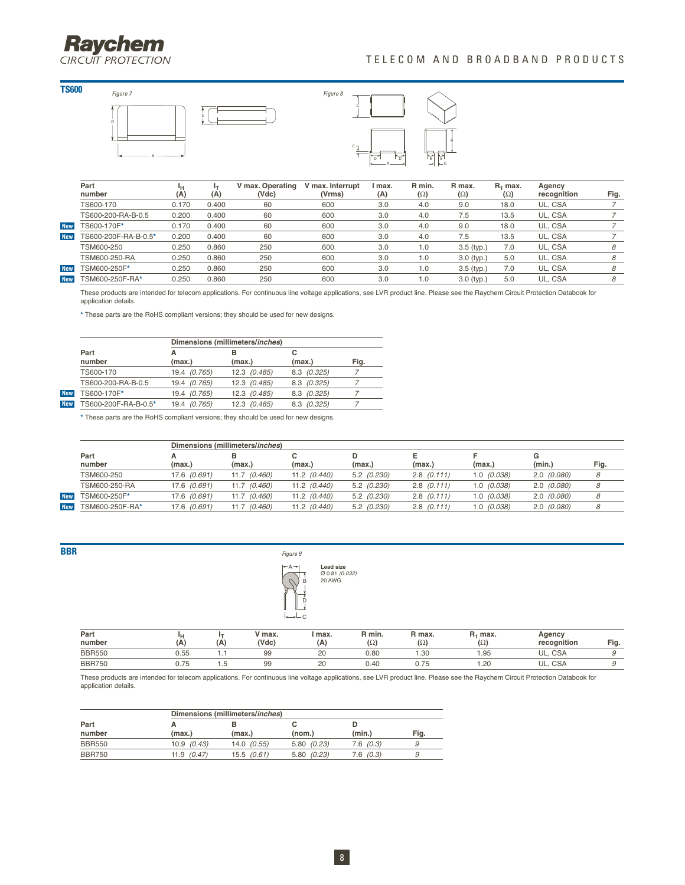# **Raychem**

### TELECOM AND BROADBAND PRODUCTS









|            | Part                 |       |       | V max. Operating | V max. Interrupt | l max. | R min.     | R max.       | R <sub>1</sub> max. | Agency      |      |
|------------|----------------------|-------|-------|------------------|------------------|--------|------------|--------------|---------------------|-------------|------|
|            | number               | (A    | (A)   | (Vdc)            | (Vrms)           | (A)    | $(\Omega)$ | $(\Omega)$   | $(\Omega)$          | recognition | Fig. |
|            | TS600-170            | 0.170 | 0.400 | 60               | 600              | 3.0    | 4.0        | 9.0          | 18.0                | UL, CSA     |      |
|            | TS600-200-RA-B-0.5   | 0.200 | 0.400 | 60               | 600              | 3.0    | 4.0        | 7.5          | 13.5                | UL, CSA     |      |
| <b>New</b> | TS600-170F*          | 0.170 | 0.400 | 60               | 600              | 3.0    | 4.0        | 9.0          | 18.0                | UL. CSA     |      |
| <b>New</b> | TS600-200F-RA-B-0.5* | 0.200 | 0.400 | 60               | 600              | 3.0    | 4.0        | 7.5          | 13.5                | UL. CSA     |      |
|            | TSM600-250           | 0.250 | 0.860 | 250              | 600              | 3.0    | 1.0        | $3.5$ (typ.) | 7.0                 | UL. CSA     |      |
|            | TSM600-250-RA        | 0.250 | 0.860 | 250              | 600              | 3.0    | 1.0        | $3.0$ (typ.) | 5.0                 | UL, CSA     | 8    |
| <b>New</b> | TSM600-250F*         | 0.250 | 0.860 | 250              | 600              | 3.0    | 1.0        | $3.5$ (typ.) | 7.0                 | UL, CSA     |      |
| <b>New</b> | TSM600-250F-RA*      | 0.250 | 0.860 | 250              | 600              | 3.0    | 0. ا       | $3.0$ (typ.) | 5.0                 | UL. CSA     | 8    |

These products are intended for telecom applications. For continuous line voltage applications, see LVR product line. Please see the Raychem Circuit Protection Databook for application details.

**\*** These parts are the RoHS compliant versions; they should be used for new designs.

|                      | Dimensions (millimeters/inches) |              |             |      |  |  |  |  |  |
|----------------------|---------------------------------|--------------|-------------|------|--|--|--|--|--|
| Part<br>number       | (max.)                          | в<br>(max.)  | с<br>(max.) | Fig. |  |  |  |  |  |
| TS600-170            | 19.4 (0.765)                    | 12.3 (0.485) | 8.3 (0.325) |      |  |  |  |  |  |
| TS600-200-RA-B-0.5   | 19.4 (0.765)                    | 12.3 (0.485) | 8.3 (0.325) |      |  |  |  |  |  |
| TS600-170F*          | 19.4 (0.765)                    | 12.3 (0.485) | 8.3 (0.325) |      |  |  |  |  |  |
| TS600-200F-RA-B-0.5* | 19.4 (0.765)                    | 12.3 (0.485) | 8.3 (0.325) |      |  |  |  |  |  |

**\*** These parts are the RoHS compliant versions; they should be used for new designs.

|            |                 |              | Dimensions (millimeters/inches) |                  |               |                 |                 |               |      |
|------------|-----------------|--------------|---------------------------------|------------------|---------------|-----------------|-----------------|---------------|------|
|            | Part            |              |                                 |                  |               |                 |                 |               |      |
|            | number          | (max.)       | (max.)                          | (max.)           | (max.)        | (max.)          | (max.)          | (min.)        | Fig. |
|            | TSM600-250      | 17.6 (0.691) | 11.7 (0.460)                    | $11.2$ $(0.440)$ | $5.2$ (0.230) | $2.8$ $(0.111)$ | $1.0$ $(0.038)$ | 2.0(0.080)    |      |
|            | TSM600-250-RA   | 17.6 (0.691) | (0.460)<br>11.7                 | $11.2$ $(0.440)$ | 5.2(0.230)    | $2.8$ $(0.111)$ | 1.0(0.038)      | 2.0(0.080)    |      |
| New        | TSM600-250F*    | 17.6 (0.691) | (0.460)<br>11.7                 | $11.2$ $(0.440)$ | 5.2(0.230)    | $2.8$ $(0.111)$ | 1.0(0.038)      | 2.0(0.080)    |      |
| <b>New</b> | TSM600-250F-RA* | 17.6 (0.691) | (0.460)<br>11.7                 | $11.2$ $(0.440)$ | $5.2$ (0.230) | $2.8$ $(0.111)$ | $1.0$ $(0.038)$ | $2.0$ (0.080) |      |



| Part<br>number | Α    | (A     | ′ max.<br>(Vdc) | max.<br>(A) | R min.<br>$(\Omega)$ | . max.<br>$(\Omega)$ | max.<br>$(\Omega)$ | Agency<br>recognition | Fig. |
|----------------|------|--------|-----------------|-------------|----------------------|----------------------|--------------------|-----------------------|------|
| <b>BBR550</b>  | 0.55 |        | 99              | ۷J          | 0.80                 | 1.30                 | .95                | UL.<br><b>CSA</b>     |      |
| <b>BBR750</b>  | 0.75 | $\sim$ | 99              | ۷Ľ          | 0.40                 | $\sim$<br>U.75       | .20                | UL.<br><b>CSA</b>     |      |

These products are intended for telecom applications. For continuous line voltage applications, see LVR product line. Please see the Raychem Circuit Protection Databook for application details.

|                |            | Dimensions (millimeters/inches) |            |          |      |  |  |  |  |  |  |
|----------------|------------|---------------------------------|------------|----------|------|--|--|--|--|--|--|
| Part<br>number | (max.)     | (max.)                          | (nom.)     | (min.)   | Fiq. |  |  |  |  |  |  |
| <b>BBR550</b>  | 10.9(0.43) | $14.0$ $(0.55)$                 | 5.80(0.23) | 7.6(0.3) |      |  |  |  |  |  |  |
| <b>BBR750</b>  | 11.9(0.47) | 15.5(0.61)                      | 5.80(0.23) | 7.6(0.3) |      |  |  |  |  |  |  |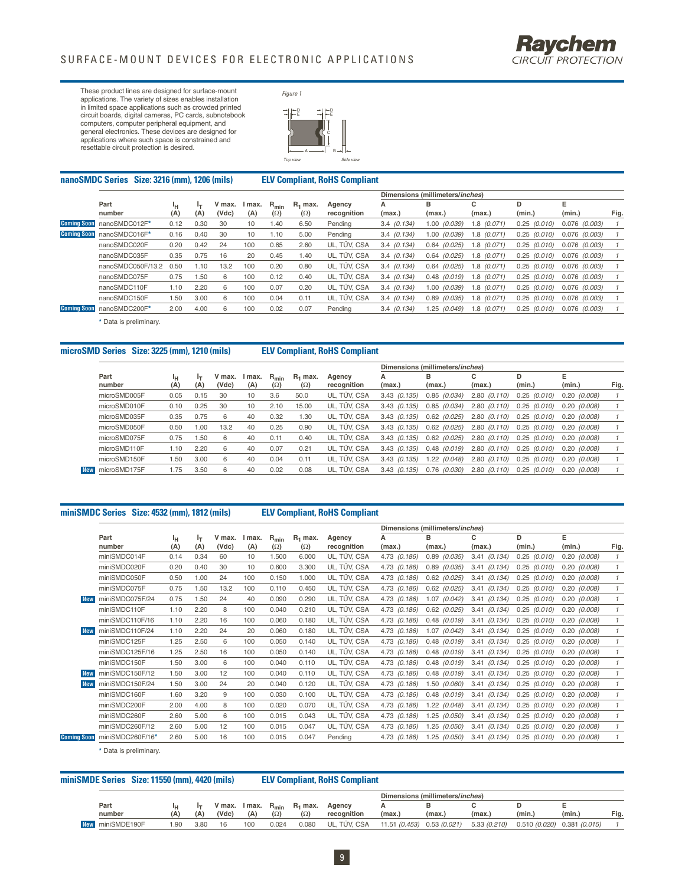

These product lines are designed for surface-mount applications. The variety of sizes enables installation in limited space applications such as crowded printed circuit boards, digital cameras, PC cards, subnotebook computers, computer peripheral equipment, and general electronics. These devices are designed for applications where such space is constrained and resettable circuit protection is desired.



| nanoSMDC Series Size: 3216 (mm), 1206 (mils) |                   |           |           |                 |             |                         |                          | <b>ELV Compliant, RoHS Compliant</b> |               |                                 |                 |                  |                   |      |
|----------------------------------------------|-------------------|-----------|-----------|-----------------|-------------|-------------------------|--------------------------|--------------------------------------|---------------|---------------------------------|-----------------|------------------|-------------------|------|
|                                              |                   |           |           |                 |             |                         |                          |                                      |               | Dimensions (millimeters/inches) |                 |                  |                   |      |
|                                              | Part<br>number    | ٠н<br>(A) | ŀт<br>(A) | V max.<br>(Vdc) | max.<br>(A) | $R_{min}$<br>$(\Omega)$ | $R_1$ max.<br>$(\Omega)$ | Agency<br>recognition                | А<br>(max.)   | в<br>(max.)                     | с<br>(max.)     | D<br>(min.)      | Е<br>(min.)       | Fig. |
| <b>Coming Soon</b>                           | nanoSMDC012F*     | 0.12      | 0.30      | 30              | 10          | 1.40                    | 6.50                     | Pending                              | $3.4$ (0.134) | $1.00$ $(0.039)$                | $1.8$ $(0.071)$ | $0.25$ $(0.010)$ | $0.076$ $(0.003)$ |      |
| <b>Coming Soon</b>                           | nanoSMDC016F*     | 0.16      | 0.40      | 30              | 10          | 1.10                    | 5.00                     | Pending                              | $3.4$ (0.134) | (0.039)<br>1.00                 | 1.8 (0.071)     | 0.25<br>(0.010)  | $0.076$ $(0.003)$ |      |
|                                              | nanoSMDC020F      | 0.20      | 0.42      | 24              | 100         | 0.65                    | 2.60                     | UL, TÜV, CSA                         | $3.4$ (0.134) | (0.025)<br>0.64                 | $1.8$ (0.071)   | (0.010)<br>0.25  | $0.076$ $(0.003)$ |      |
|                                              | nanoSMDC035F      | 0.35      | 0.75      | 16              | 20          | 0.45                    | 1.40                     | UL, TÜV, CSA                         | $3.4$ (0.134) | (0.025)<br>0.64                 | $1.8$ (0.071)   | (0.010)<br>0.25  | $0.076$ $(0.003)$ |      |
|                                              | nanoSMDC050F/13.2 | 0.50      | 1.10      | 13.2            | 100         | 0.20                    | 0.80                     | UL. TÜV. CSA                         | 3.4(0.134)    | (0.025)<br>0.64                 | $1.8$ $(0.071)$ | (0.010)<br>0.25  | $0.076$ $(0.003)$ |      |
|                                              | nanoSMDC075F      | 0.75      | 1.50      | 6               | 100         | 0.12                    | 0.40                     | UL. TÜV. CSA                         | $3.4$ (0.134) | $0.48$ $(0.019)$                | $1.8$ $(0.071)$ | (0.010)<br>0.25  | $0.076$ $(0.003)$ |      |
|                                              | nanoSMDC110F      | 1.10      | 2.20      | 6               | 100         | 0.07                    | 0.20                     | UL. TÜV. CSA                         | $3.4$ (0.134) | (0.039)<br>1.00                 | $1.8$ $(0.071)$ | (0.010)<br>0.25  | $0.076$ $(0.003)$ |      |
|                                              | nanoSMDC150F      | 1.50      | 3.00      | 6               | 100         | 0.04                    | 0.11                     | UL. TÜV. CSA                         | $3.4$ (0.134) | (0.035)<br>0.89                 | $1.8$ $(0.071)$ | (0.010)<br>0.25  | $0.076$ $(0.003)$ |      |
| <b>Coming Soon</b>                           | nanoSMDC200F*     | 2.00      | 4.00      | 6               | 100         | 0.02                    | 0.07                     | Pending                              | $3.4$ (0.134) | (0.049)<br>1.25                 | $1.8$ (0.071)   | $0.25$ $(0.010)$ | $0.076$ $(0.003)$ |      |
|                                              |                   |           |           |                 |             |                         |                          |                                      |               |                                 |                 |                  |                   |      |

**\*** Data is preliminary.

#### **microSMD Series Size: 3225 (mm), 1210 (mils) ELV Compliant, RoHS Compliant**

|                            |      |       |        |      |            |            |              | Dimensions (millimeters/inches) |                  |                  |                 |                  |      |
|----------------------------|------|-------|--------|------|------------|------------|--------------|---------------------------------|------------------|------------------|-----------------|------------------|------|
| Part                       | ١н   | Iт    | V max. | max. | $R_{min}$  | $R_1$ max. | Agency       |                                 | в                | с                | D               | F                |      |
| number                     | (A)  | (A)   | (Vdc)  | (A)  | $(\Omega)$ | $(\Omega)$ | recognition  | (max.)                          | (max.)           | (max.)           | (min.)          | (min.)           | Fig. |
| microSMD005F               | 0.05 | 0.15  | 30     | 10   | 3.6        | 50.0       | UL, TÜV, CSA | $3.43$ $(0.135)$                | $0.85$ $(0.034)$ | $2.80$ $(0.110)$ | $0.25$ (0.010)  | $0.20$ (0.008)   |      |
| microSMD010F               | 0.10 | 0.25  | 30     | 10   | 2.10       | 15.00      | UL, TÜV, CSA | $3.43$ $(0.135)$                | $0.85$ $(0.034)$ | 2.80<br>(0.110)  | 0.25<br>(0.010) | $0.20$ $(0.008)$ |      |
| microSMD035F               | 0.35 | 0.75  | 6      | 40   | 0.32       | 1.30       | UL, TÜV, CSA | $3.43$ $(0.135)$                | $0.62$ $(0.025)$ | 2.80<br>(0.110)  | $0.25$ (0.010)  | 0.20 (0.008)     |      |
| microSMD050F               | 0.50 | 0.001 | 13.2   | 40   | 0.25       | 0.90       | UL. TÜV. CSA | $3.43$ $(0.135)$                | $0.62$ $(0.025)$ | (0.110)<br>2.80  | 0.25(0.010)     | $0.20$ (0.008)   |      |
| microSMD075F               | 0.75 | 1.50  | 6      | 40   | 0.11       | 0.40       | UL, TÜV, CSA | $3.43$ (0.135)                  | $0.62$ $(0.025)$ | $2.80$ $(0.110)$ | 0.25(0.010)     | 0.20 (0.008)     |      |
| microSMD110F               | 1.10 | 2.20  | 6      | 40   | 0.07       | 0.21       | UL. TÜV. CSA | 3.43(0.135)                     | $0.48$ $(0.019)$ | 2.80<br>(0.110)  | 0.25(0.010)     | $0.20$ (0.008)   |      |
| microSMD150F               | . 50 | 3.00  | 6      | 40   | 0.04       | 0.11       | UL, TÜV, CSA | $3.43$ $(0.135)$                | 1.22 (0.048)     | 2.80<br>(0.110)  | $0.25$ (0.010)  | $0.20$ (0.008)   |      |
| microSMD175F<br><b>New</b> | .75  | 3.50  | 6      | 40   | 0.02       | 0.08       | UL, TÜV, CSA | 3.43(0.135)                     | $0.76$ $(0.030)$ | 2.80<br>(0.110)  | $0.25$ (0.010)  | $0.20$ (0.008)   |      |
|                            |      |       |        |      |            |            |              |                                 |                  |                  |                 |                  |      |

#### **miniSMDC Series Size: 4532 (mm), 1812 (mils) ELV Compliant, RoHS Compliant**

|                    |                  |      |                |        |        |            |            |              |              | Dimensions (millimeters/inches) |                 |                  |                  |              |
|--------------------|------------------|------|----------------|--------|--------|------------|------------|--------------|--------------|---------------------------------|-----------------|------------------|------------------|--------------|
|                    | Part             | ١н   | I <sub>T</sub> | V max. | I max. | $R_{min}$  | $R_1$ max. | Agency       |              | в                               | с               | D                | F                |              |
|                    | number           | (A)  | (A)            | (Vdc)  | (A)    | $(\Omega)$ | $(\Omega)$ | recognition  | (max.)       | (max.)                          | (max.)          | (min.)           | (min.)           | Fig.         |
|                    | miniSMDC014F     | 0.14 | 0.34           | 60     | 10     | 1.500      | 6.000      | UL, TÜV, CSA | 4.73 (0.186) | $0.89$ $(0.035)$                | 3.41 (0.134)    | $0.25$ $(0.010)$ | $0.20$ $(0.008)$ |              |
|                    | miniSMDC020F     | 0.20 | 0.40           | 30     | 10     | 0.600      | 3.300      | UL, TÜV, CSA | 4.73 (0.186) | $0.89$ $(0.035)$                | 3.41<br>(0.134) | $0.25$ $(0.010)$ | $0.20$ $(0.008)$ |              |
|                    | miniSMDC050F     | 0.50 | 1.00           | 24     | 100    | 0.150      | 1.000      | UL, TÜV, CSA | 4.73 (0.186) | 0.62<br>(0.025)                 | 3.41<br>(0.134) | 0.25<br>(0.010)  | $0.20$ $(0.008)$ |              |
|                    | miniSMDC075F     | 0.75 | 1.50           | 13.2   | 100    | 0.110      | 0.450      | UL, TÜV, CSA | 4.73 (0.186) | $0.62$ $(0.025)$                | (0.134)<br>3.41 | $0.25$ $(0.010)$ | $0.20$ $(0.008)$ |              |
| <b>New</b>         | miniSMDC075F/24  | 0.75 | 1.50           | 24     | 40     | 0.090      | 0.290      | UL, TÜV, CSA | 4.73 (0.186) | 1.07 (0.042)                    | 3.41<br>(0.134) | $0.25$ $(0.010)$ | $0.20$ $(0.008)$ |              |
|                    | miniSMDC110F     | 1.10 | 2.20           | 8      | 100    | 0.040      | 0.210      | UL, TÜV, CSA | 4.73 (0.186) | $0.62$ $(0.025)$                | (0.134)<br>3.41 | 0.25<br>(0.010)  | $0.20$ $(0.008)$ |              |
|                    | miniSMDC110F/16  | 1.10 | 2.20           | 16     | 100    | 0.060      | 0.180      | UL, TÜV, CSA | 4.73 (0.186) | 0.48<br>(0.019)                 | (0.134)<br>3.41 | 0.25<br>(0.010)  | $0.20$ $(0.008)$ |              |
| <b>New</b>         | miniSMDC110F/24  | 1.10 | 2.20           | 24     | 20     | 0.060      | 0.180      | UL, TÜV, CSA | 4.73 (0.186) | (0.042)<br>1.07                 | (0.134)<br>3.41 | 0.25<br>(0.010)  | $0.20$ $(0.008)$ |              |
|                    | miniSMDC125F     | 1.25 | 2.50           | 6      | 100    | 0.050      | 0.140      | UL, TÜV, CSA | 4.73 (0.186) | 0.48<br>(0.019)                 | 3.41<br>(0.134) | 0.25<br>(0.010)  | $0.20$ $(0.008)$ |              |
|                    | miniSMDC125F/16  | 1.25 | 2.50           | 16     | 100    | 0.050      | 0.140      | UL, TÜV, CSA | 4.73 (0.186) | (0.019)<br>0.48                 | (0.134)<br>3.41 | 0.25<br>(0.010)  | $0.20$ $(0.008)$ | $\mathcal I$ |
|                    | miniSMDC150F     | 1.50 | 3.00           | 6      | 100    | 0.040      | 0.110      | UL, TÜV, CSA | 4.73 (0.186) | 0.48<br>(0.019)                 | (0.134)<br>3.41 | 0.25<br>(0.010)  | $0.20$ $(0.008)$ |              |
| <b>New</b>         | miniSMDC150F/12  | 1.50 | 3.00           | 12     | 100    | 0.040      | 0.110      | UL, TÜV, CSA | 4.73 (0.186) | 0.48<br>(0.019)                 | 3.41<br>(0.134) | 0.25<br>(0.010)  | $0.20$ $(0.008)$ |              |
| <b>New</b>         | miniSMDC150F/24  | 1.50 | 3.00           | 24     | 20     | 0.040      | 0.120      | UL, TÜV, CSA | 4.73 (0.186) | 1.50<br>(0.060)                 | 3.41<br>(0.134) | 0.25<br>(0.010)  | $0.20$ $(0.008)$ |              |
|                    | miniSMDC160F     | 1.60 | 3.20           | 9      | 100    | 0.030      | 0.100      | UL, TÜV, CSA | 4.73 (0.186) | 0.48<br>(0.019)                 | (0.134)<br>3.41 | 0.25<br>(0.010)  | $0.20$ $(0.008)$ |              |
|                    | miniSMDC200F     | 2.00 | 4.00           | 8      | 100    | 0.020      | 0.070      | UL, TÜV, CSA | 4.73 (0.186) | 1.22<br>(0.048)                 | (0.134)<br>3.41 | 0.25<br>(0.010)  | $0.20$ $(0.008)$ |              |
|                    | miniSMDC260F     | 2.60 | 5.00           | 6      | 100    | 0.015      | 0.043      | UL, TÜV, CSA | 4.73 (0.186) | 1.25<br>(0.050)                 | 3.41<br>(0.134) | 0.25<br>(0.010)  | $0.20$ $(0.008)$ |              |
|                    | miniSMDC260F/12  | 2.60 | 5.00           | 12     | 100    | 0.015      | 0.047      | UL, TÜV, CSA | 4.73 (0.186) | (0.050)<br>1.25                 | (0.134)<br>3.41 | 0.25<br>(0.010)  | $0.20$ $(0.008)$ |              |
| <b>Coming Soon</b> | miniSMDC260F/16* | 2.60 | 5.00           | 16     | 100    | 0.015      | 0.047      | Pending      | 4.73 (0.186) | 1.25<br>(0.050)                 | 3.41<br>(0.134) | 0.25<br>(0.010)  | $0.20$ $(0.008)$ |              |

**\*** Data is preliminary.

|            | miniSMDE Series Size: 11550 (mm), 4420 (mils) |  |     |      |        |                         |            |                     | <b>ELV Compliant, RoHS Compliant</b> |                            |                                 |              |        |                             |      |
|------------|-----------------------------------------------|--|-----|------|--------|-------------------------|------------|---------------------|--------------------------------------|----------------------------|---------------------------------|--------------|--------|-----------------------------|------|
|            |                                               |  |     |      |        |                         |            |                     |                                      |                            | Dimensions (millimeters/inches) |              |        |                             |      |
|            | Part                                          |  |     |      | V max. | I max. R <sub>min</sub> |            | R <sub>1</sub> max. | Agency                               |                            |                                 |              |        |                             |      |
|            | number                                        |  | (A) | (A)  | (Vdc)  | (A)                     | $(\Omega)$ | $(\Omega)$          | recognition                          | (max.)                     | (max.)                          | (max.)       | (min.) | (min.)                      | Fia. |
| <b>New</b> | miniSMDE190F                                  |  | .90 | 3.80 | 16     | 100                     | 0.024      | 0.080               | UL, TÜV, CSA                         | 11.51 (0.453) 0.53 (0.021) |                                 | 5.33 (0.210) |        | 0.510 (0.020) 0.381 (0.015) |      |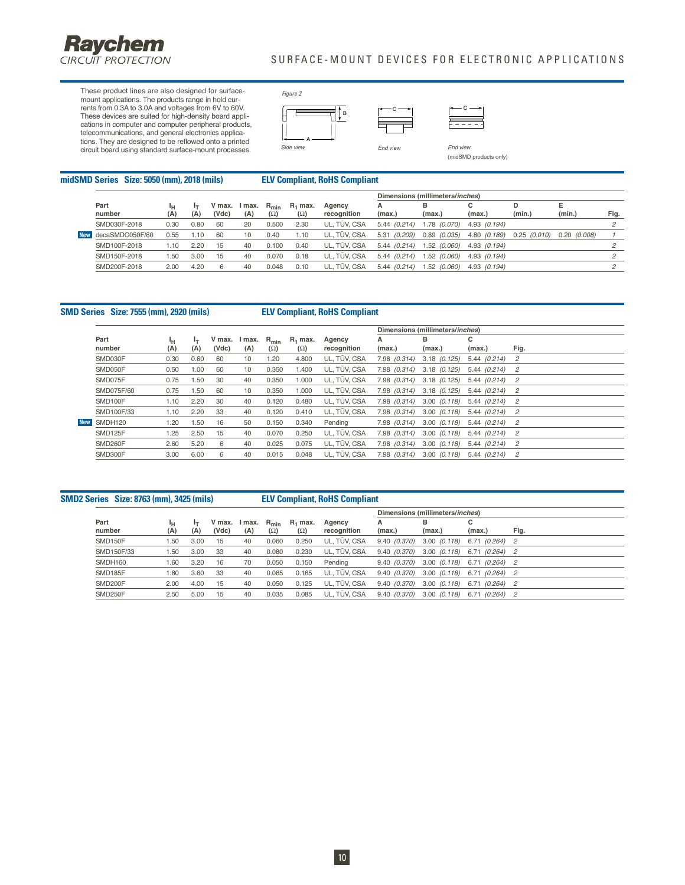

### SURFACE-MOUNT DEVICES FOR ELECTRONIC APPLICATIONS

These product lines are also designed for surfacemount applications. The products range in hold cur-<br>rents from 0.3A to 3.0A and voltages from 6V to 60V.<br>These devices are suited for high-density board appli-<br>cations in computer and computer peripheral products,<br>telecomm tions. They are designed to be reflowed onto a printed circuit board using standard surface-mount processes.





End view (midSMD products only)

midSMD Series Size: 5050 (mm), 2018 (mils)

|  | <b>ELV Compliant, RoHS Compliant</b> |  |  |  |  |
|--|--------------------------------------|--|--|--|--|
|--|--------------------------------------|--|--|--|--|

|            |                 |      |      |        |        |            |            |              | Dimensions (millimeters/inches) |                |              |             |             |      |
|------------|-----------------|------|------|--------|--------|------------|------------|--------------|---------------------------------|----------------|--------------|-------------|-------------|------|
|            | Part            | ٠н   |      | V max. | I max. | $R_{min}$  | $R_1$ max. | Agency       | А                               | в              |              |             | Е           |      |
|            | number          | (A)  | (A)  | (Vdc)  | (A)    | $(\Omega)$ | $(\Omega)$ | recognition  | (max.)                          | (max.)         | (max.)       | (min.)      | (min.)      | Fig. |
|            | SMD030F-2018    | 0.30 | 0.80 | 60     | 20     | 0.500      | 2.30       | UL. TÜV. CSA | 5.44 (0.214)                    | 1.78 (0.070)   | 4.93 (0.194) |             |             |      |
| <b>New</b> | decaSMDC050F/60 | 0.55 | 1.10 | 60     | 10     | 0.40       | 1.10       | UL. TÜV. CSA | 5.31 (0.209)                    | $0.89$ (0.035) | 4.80 (0.189) | 0.25(0.010) | 0.20(0.008) |      |
|            | SMD100F-2018    | .10  | 2.20 | 15     | 40     | 0.100      | 0.40       | UL. TÜV. CSA | 5.44 (0.214)                    | 1.52 (0.060)   | 4.93 (0.194) |             |             |      |
|            | SMD150F-2018    | .50  | 3.00 | 15     | 40     | 0.070      | 0.18       | UL. TÜV. CSA | 5.44(0.214)                     | 1.52 (0.060)   | 4.93 (0.194) |             |             |      |
|            | SMD200F-2018    | 2.00 | 4.20 | 6      | 40     | 0.048      | 0.10       | UL. TÜV. CSA | 5.44 (0.214)                    | 1.52 (0.060)   | 4.93 (0.194) |             |             |      |
|            |                 |      |      |        |        |            |            |              |                                 |                |              |             |             |      |

#### **SMD Series Size: 7555 (mm), 2920 (mils) ELV Compliant, RoHS Compliant**

|            |            |      |      |        |        |            |            |              | Dimensions (millimeters/inches) |                      |                 |      |
|------------|------------|------|------|--------|--------|------------|------------|--------------|---------------------------------|----------------------|-----------------|------|
|            | Part       | ŀн   | Iт   | V max. | l max. | $R_{min}$  | $R_1$ max. | Agency       | А                               | в                    | с               |      |
|            | number     | (A)  | (A)  | (Vdc)  | (A)    | $(\Omega)$ | $(\Omega)$ | recognition  | (max.)                          | (max.)               | (max.)          | Fig. |
|            | SMD030F    | 0.30 | 0.60 | 60     | 10     | 1.20       | 4.800      | UL, TÜV, CSA | 7.98 (0.314)                    | $3.18$ (0.125)       | 5.44 (0.214)    | 2    |
|            | SMD050F    | 0.50 | 1.00 | 60     | 10     | 0.350      | 1.400      | UL, TÜV, CSA | 7.98 (0.314)                    | $3.18$ $(0.125)$     | $5.44(0.214)$ 2 |      |
|            | SMD075F    | 0.75 | 1.50 | 30     | 40     | 0.350      | 1.000      | UL, TÜV, CSA | 7.98 (0.314)                    | $3.18$ $(0.125)$     | $5.44(0.214)$ 2 |      |
|            | SMD075F/60 | 0.75 | 1.50 | 60     | 10     | 0.350      | 1.000      | UL. TÜV. CSA | 7.98 (0.314)                    | $3.18$ (0.125)       | $5.44(0.214)$ 2 |      |
|            | SMD100F    | 1.10 | 2.20 | 30     | 40     | 0.120      | 0.480      | UL. TÜV. CSA | 7.98 (0.314)                    | $3.00 \quad (0.118)$ | 5.44 (0.214)    | 2    |
|            | SMD100F/33 | 1.10 | 2.20 | 33     | 40     | 0.120      | 0.410      | UL. TÜV. CSA | 7.98 (0.314)                    | 3.00 (0.118)         | 5.44 (0.214)    | - 2  |
| <b>New</b> | SMDH120    | 1.20 | 1.50 | 16     | 50     | 0.150      | 0.340      | Pending      | 7.98 (0.314)                    | $3.00 \quad (0.118)$ | 5.44 (0.214)    | - 2  |
|            | SMD125F    | 1.25 | 2.50 | 15     | 40     | 0.070      | 0.250      | UL, TÜV, CSA | 7.98 (0.314)                    | $3.00 \quad (0.118)$ | 5.44 (0.214)    | -2   |
|            | SMD260F    | 2.60 | 5.20 | 6      | 40     | 0.025      | 0.075      | UL, TÜV, CSA | 7.98 (0.314)                    | $3.00 \quad (0.118)$ | 5.44 (0.214)    | 2    |
|            | SMD300F    | 3.00 | 6.00 | 6      | 40     | 0.015      | 0.048      | UL. TÜV. CSA | 7.98 (0.314)                    | $3.00 \quad (0.118)$ | 5.44 (0.214)    | 2    |
|            |            |      |      |        |        |            |            |              |                                 |                      |                 |      |

**SMD2 Series Size: 8763 (mm), 3425 (mils) ELV Compliant, RoHS Compliant**

|                |      |      |                 |                                |            |                          |                       |              | Dimensions (millimeters/inches)                |                  |      |
|----------------|------|------|-----------------|--------------------------------|------------|--------------------------|-----------------------|--------------|------------------------------------------------|------------------|------|
| Part<br>number | (A)  | (A)  | V max.<br>(Vdc) | I max. R <sub>min</sub><br>(A) | $(\Omega)$ | $R_1$ max.<br>$(\Omega)$ | Agency<br>recognition | А<br>(max.)  | в<br>(max.)                                    | с<br>(max.)      | Fig. |
| SMD150F        | 50،، | 3.00 | 15              | 40                             | 0.060      | 0.250                    | UL, TÜV, CSA          |              | $9.40$ $(0.370)$ $3.00$ $(0.118)$              | 6.71 (0.264) 2   |      |
| SMD150F/33     | 50،، | 3.00 | 33              | 40                             | 0.080      | 0.230                    | UL, TÜV, CSA          | 9.40 (0.370) | 3.00 (0.118)                                   | 6.71 (0.264) 2   |      |
| SMDH160        | 1.60 | 3.20 | 16              | 70                             | 0.050      | 0.150                    | Pending               |              | $9.40$ $(0.370)$ $3.00$ $(0.118)$              | $6.71$ (0.264) 2 |      |
| SMD185F        | 80،، | 3.60 | -33             | 40                             | 0.065      | 0.165                    | UL. TÜV. CSA          |              | $9.40$ (0.370) $3.00$ (0.118) $6.71$ (0.264) 2 |                  |      |
| SMD200F        | 2.00 | 4.00 | 15              | 40                             | 0.050      | 0.125                    | UL. TÜV. CSA          |              | 9.40 (0.370) 3.00 (0.118) 6.71 (0.264) 2       |                  |      |
| SMD250F        | 2.50 | 5.00 | 15              | 40                             | 0.035      | 0.085                    | UL. TÜV. CSA          |              | 9.40 (0.370) 3.00 (0.118) 6.71 (0.264) 2       |                  |      |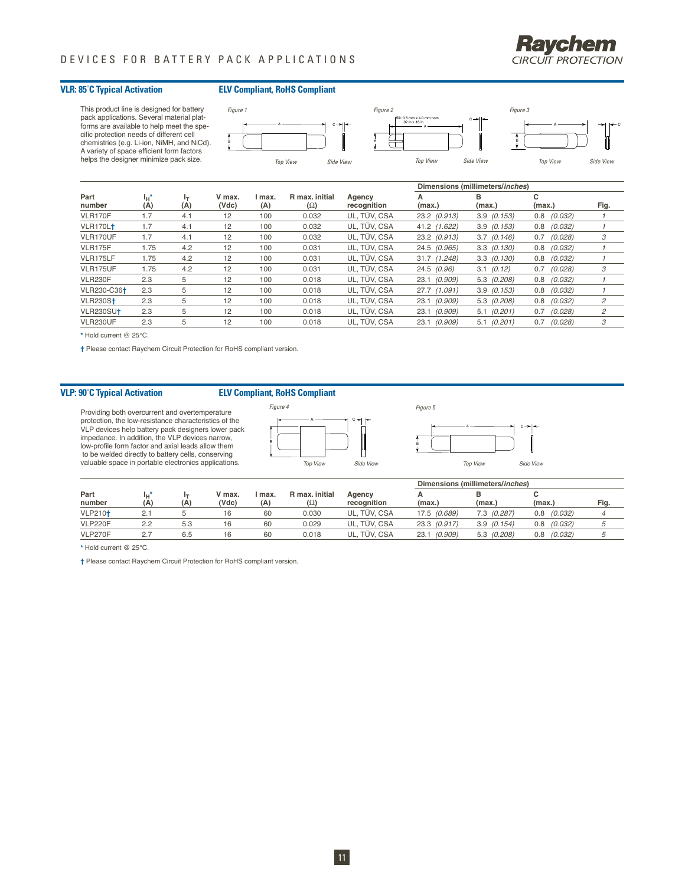

#### **VLR: 85˚C Typical Activation ELV Compliant, RoHS Compliant**



|                         |                |           |                 |               |                              |                       |              | Dimensions (millimeters/inches) |                 |      |
|-------------------------|----------------|-----------|-----------------|---------------|------------------------------|-----------------------|--------------|---------------------------------|-----------------|------|
| Part<br>number          | $I_H^*$<br>(A) | Iт<br>(A) | V max.<br>(Vdc) | l max.<br>(A) | R max, initial<br>$(\Omega)$ | Agency<br>recognition | (max.)       | в<br>(max.)                     | с<br>(max.)     | Fig. |
| VLR170F                 | 1.7            | 4.1       | 12              | 100           | 0.032                        | UL, TÜV, CSA          | 23.2 (0.913) | $3.9$ $(0.153)$                 | $0.8$ $(0.032)$ |      |
| VLR170L <sup>+</sup>    | 1.7            | 4.1       | 12              | 100           | 0.032                        | UL. TÜV. CSA          | 41.2 (1.622) | $3.9$ $(0.153)$                 | (0.032)<br>0.8  |      |
| VLR170UF                | 1.7            | 4.1       | 12              | 100           | 0.032                        | UL. TÜV. CSA          | 23.2 (0.913) | 3.7(0.146)                      | (0.028)<br>0.7  | 3    |
| <b>VLR175F</b>          | 1.75           | 4.2       | 12              | 100           | 0.031                        | UL, TÜV, CSA          | 24.5 (0.965) | $3.3$ $(0.130)$                 | $0.8$ $(0.032)$ |      |
| VLR175LF                | 1.75           | 4.2       | 12              | 100           | 0.031                        | UL. TÜV. CSA          | 31.7(1.248)  | $3.3$ $(0.130)$                 | (0.032)<br>0.8  |      |
| VLR175UF                | 1.75           | 4.2       | 12              | 100           | 0.031                        | UL, TÜV, CSA          | 24.5(0.96)   | $3.1 \quad (0.12)$              | (0.028)<br>0.7  | 3    |
| <b>VLR230F</b>          | 2.3            | 5         | 12              | 100           | 0.018                        | UL, TÜV, CSA          | 23.1 (0.909) | 5.3 (0.208)                     | (0.032)<br>0.8  |      |
| VLR230-C36 <sup>+</sup> | 2.3            | 5         | 12              | 100           | 0.018                        | UL, TÜV, CSA          | 27.7 (1.091) | $3.9$ $(0.153)$                 | $0.8$ $(0.032)$ |      |
| <b>VLR230St</b>         | 2.3            | 5         | 12              | 100           | 0.018                        | UL. TÜV. CSA          | 23.1 (0.909) | 5.3 (0.208)                     | (0.032)<br>0.8  | 2    |
| VLR230SU <sup>+</sup>   | 2.3            | 5         | 12              | 100           | 0.018                        | UL. TÜV. CSA          | 23.1 (0.909) | $5.1$ (0.201)                   | (0.028)<br>0.7  | 2    |
| VLR230UF                | 2.3            | 5         | 12              | 100           | 0.018                        | UL, TÜV, CSA          | 23.1 (0.909) | $5.1$ (0.201)                   | 0.7<br>(0.028)  | 3    |

**\*** Hold current @ 25°C.

**†** Please contact Raychem Circuit Protection for RoHS compliant version.

#### **VLP: 90˚C Typical Activation ELV Compliant, RoHS Compliant**

Providing both overcurrent and overtemperature protection, the low-resistance characteristics of the VLP devices help battery pack designers lower pack impedance. In addition, the VLP devices narrow, low-profile form factor and axial leads allow them to be welded directly to battery cells, conserving valuable space in portable electronics applications. Top View Side View Side View Top View Side View





Figure 5

|                |            |     |                 |               |                              |                       |              | Dimensions (millimeters/inches) |                |      |
|----------------|------------|-----|-----------------|---------------|------------------------------|-----------------------|--------------|---------------------------------|----------------|------|
| Part<br>number | 4H*<br>(A) | (A) | V max.<br>(Vdc) | ' max.<br>(A) | R max, initial<br>$(\Omega)$ | Agency<br>recognition | (max.)       | (max.)                          | (max.)         | Fig. |
| <b>VLP210+</b> |            |     | 16              | 60            | 0.030                        | UL. TÜV. CSA          | 17.5 (0.689) | 7.3 (0.287)                     | (0.032)<br>0.8 |      |
| <b>VLP220F</b> | 2.2        | 5.3 | 16              | 60            | 0.029                        | UL. TÜV. CSA          | 23.3 (0.917) | 3.9(0.154)                      | (0.032)<br>0.8 |      |
| VLP270F        |            | 6.5 | 16              | 60            | 0.018                        | UL, TÜV, CSA          | 23.1 (0.909) | 5.3 (0.208)                     | (0.032)<br>0.8 |      |

**\*** Hold current @ 25°C.

**†** Please contact Raychem Circuit Protection for RoHS compliant version.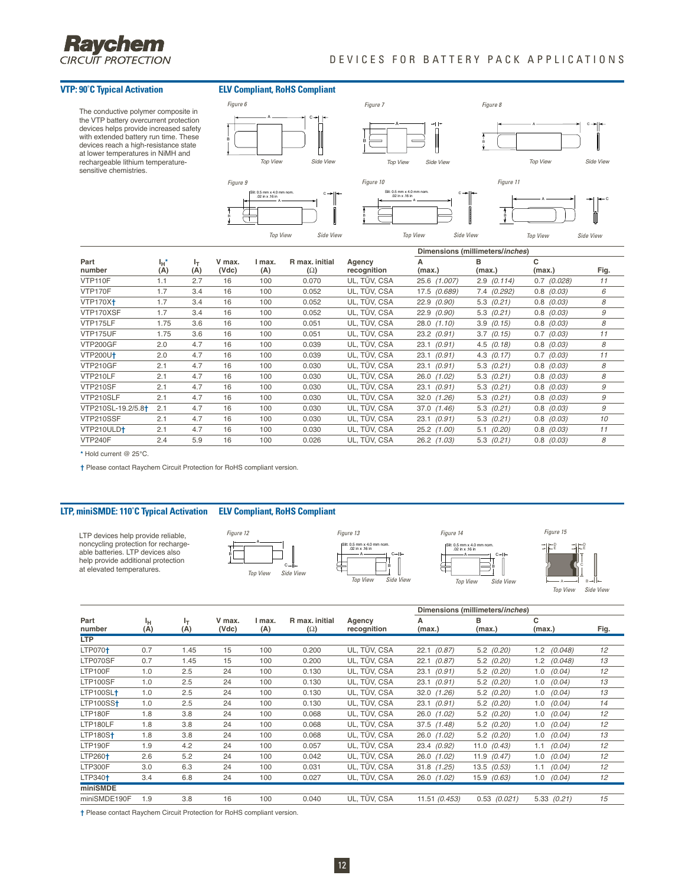

### DEVICES FOR BATTERY PACK APPLICATIONS

The conductive polymer composite in the VTP battery overcurrent protection devices helps provide increased safety with extended battery run time. These devices reach a high-resistance state at lower temperatures in NiMH and rechargeable lithium temperaturesensitive chemistries.

#### **VTP: 90˚C Typical Activation ELV Compliant, RoHS Compliant**

B

B



|                                |            |           |                 |               |                              |                       |                 | Dimensions (millimeters/inches) |                 |      |
|--------------------------------|------------|-----------|-----------------|---------------|------------------------------|-----------------------|-----------------|---------------------------------|-----------------|------|
| Part<br>number                 | Ιн*<br>(A) | ŀт<br>(A) | V max.<br>(Vdc) | l max.<br>(A) | R max, initial<br>$(\Omega)$ | Agency<br>recognition | (max.)          | в<br>(max.)                     | c<br>(max.)     | Fig. |
| VTP110F                        | 1.1        | 2.7       | 16              | 100           | 0.070                        | UL, TÜV, CSA          | 25.6 (1.007)    | $2.9$ (0.114)                   | $0.7$ $(0.028)$ | 11   |
| VTP170F                        | 1.7        | 3.4       | 16              | 100           | 0.052                        | UL, TÜV, CSA          | 17.5 (0.689)    | 7.4 (0.292)                     | 0.8<br>(0.03)   | 6    |
| <b>VTP170X+</b>                | 1.7        | 3.4       | 16              | 100           | 0.052                        | UL, TÜV, CSA          | 22.9(0.90)      | $5.3$ $(0.21)$                  | (0.03)<br>0.8   | 8    |
| VTP170XSF                      | 1.7        | 3.4       | 16              | 100           | 0.052                        | UL, TÜV, CSA          | 22.9 (0.90)     | $5.3$ $(0.21)$                  | 0.8<br>(0.03)   | 9    |
| VTP175LF                       | 1.75       | 3.6       | 16              | 100           | 0.051                        | UL, TÜV, CSA          | $28.0$ $(1.10)$ | (0.15)<br>3.9                   | 0.8<br>(0.03)   | 8    |
| VTP175UF                       | 1.75       | 3.6       | 16              | 100           | 0.051                        | UL, TÜV, CSA          | $23.2$ $(0.91)$ | $3.7$ $(0.15)$                  | 0.7<br>(0.03)   | 11   |
| <b>VTP200GF</b>                | 2.0        | 4.7       | 16              | 100           | 0.039                        | UL, TÜV, CSA          | 23.1 (0.91)     | $4.5$ $(0.18)$                  | 0.8<br>(0.03)   | 8    |
| <b>VTP200U†</b>                | 2.0        | 4.7       | 16              | 100           | 0.039                        | UL, TÜV, CSA          | 23.1 (0.91)     | $4.3$ $(0.17)$                  | 0.7<br>(0.03)   | 11   |
| <b>VTP210GF</b>                | 2.1        | 4.7       | 16              | 100           | 0.030                        | UL, TÜV, CSA          | 23.1 (0.91)     | $5.3$ $(0.21)$                  | $0.8$ $(0.03)$  | 8    |
| VTP210LF                       | 2.1        | 4.7       | 16              | 100           | 0.030                        | UL, TÜV, CSA          | 26.0 (1.02)     | $5.3$ $(0.21)$                  | $0.8$ $(0.03)$  | 8    |
| VTP210SF                       | 2.1        | 4.7       | 16              | 100           | 0.030                        | UL, TÜV, CSA          | 23.1 (0.91)     | $5.3$ $(0.21)$                  | $0.8$ $(0.03)$  | 9    |
| VTP210SLF                      | 2.1        | 4.7       | 16              | 100           | 0.030                        | UL, TÜV, CSA          | $32.0$ $(1.26)$ | $5.3$ $(0.21)$                  | $0.8$ $(0.03)$  | 9    |
| VTP210SL-19.2/5.8 <sup>+</sup> | 2.1        | 4.7       | 16              | 100           | 0.030                        | UL, TÜV, CSA          | 37.0 (1.46)     | $5.3$ $(0.21)$                  | $0.8$ $(0.03)$  | 9    |
| VTP210SSF                      | 2.1        | 4.7       | 16              | 100           | 0.030                        | UL, TÜV, CSA          | 23.1 (0.91)     | $5.3$ $(0.21)$                  | $0.8$ $(0.03)$  | 10   |
| VTP210ULD+                     | 2.1        | 4.7       | 16              | 100           | 0.030                        | UL, TÜV, CSA          | $25.2$ $(1.00)$ | $5.1$ (0.20)                    | $0.8$ $(0.03)$  | 11   |
| <b>VTP240F</b>                 | 2.4        | 5.9       | 16              | 100           | 0.026                        | UL, TÜV, CSA          | 26.2 (1.03)     | (0.21)<br>5.3                   | 0.8<br>(0.03)   | 8    |

**\*** Hold current @ 25°C.

**†** Please contact Raychem Circuit Protection for RoHS compliant version.

#### **LTP, miniSMDE: 110˚C Typical Activation ELV Compliant, RoHS Compliant**

LTP devices help provide reliable, noncycling protection for recharge-able batteries. LTP devices also help provide additional protection at elevated temperatures.





Slit: 0.5 mm x 4.0 mm nom. .02 in x .16 in A C ⊣ B



Figure 14 Figure 15

B A Top View Side View

E

E

|                     |           |           |                 |               |                              |                       |                 | Dimensions (millimeters/inches) |                 |      |
|---------------------|-----------|-----------|-----------------|---------------|------------------------------|-----------------------|-----------------|---------------------------------|-----------------|------|
| Part<br>number      | ۱н<br>(A) | ŀτ<br>(A) | V max.<br>(Vdc) | I max.<br>(A) | R max, initial<br>$(\Omega)$ | Agency<br>recognition | А<br>(max.)     | в<br>(max.)                     | с<br>(max.)     | Fig. |
| <b>LTP</b>          |           |           |                 |               |                              |                       |                 |                                 |                 |      |
| $LTP070+$           | 0.7       | 1.45      | 15              | 100           | 0.200                        | UL, TÜV, CSA          | (0.87)<br>22.1  | $5.2$ (0.20)                    | (0.048)<br>1.2  | 12   |
| LTP070SF            | 0.7       | 1.45      | 15              | 100           | 0.200                        | UL, TÜV, CSA          | (0.87)<br>22.1  | $5.2$ (0.20)                    | (0.048)<br>1.2  | 13   |
| LTP100F             | 1.0       | 2.5       | 24              | 100           | 0.130                        | UL, TÜV, CSA          | (0.91)<br>23.1  | $5.2$ (0.20)                    | 1.0<br>(0.04)   | 12   |
| LTP100SF            | 1.0       | 2.5       | 24              | 100           | 0.130                        | UL, TÜV, CSA          | (0.91)<br>23.1  | $5.2$ (0.20)                    | 1.0<br>(0.04)   | 13   |
| $LTP100SL+$         | 1.0       | 2.5       | 24              | 100           | 0.130                        | UL, TÜV, CSA          | 32.0 (1.26)     | $5.2$ (0.20)                    | (0.04)<br>1.0   | 13   |
| LTP100SS            | 1.0       | 2.5       | 24              | 100           | 0.130                        | UL, TÜV, CSA          | 23.1 (0.91)     | $5.2$ (0.20)                    | 1.0<br>(0.04)   | 14   |
| LTP180F             | 1.8       | 3.8       | 24              | 100           | 0.068                        | UL, TÜV, CSA          | 26.0 (1.02)     | $5.2$ (0.20)                    | 1.0<br>(0.04)   | 12   |
| LTP180LF            | 1.8       | 3.8       | 24              | 100           | 0.068                        | UL. TÜV. CSA          | $37.5$ $(1.48)$ | $5.2$ (0.20)                    | (0.04)<br>1.0   | 12   |
| $LTP180S+$          | 1.8       | 3.8       | 24              | 100           | 0.068                        | UL, TÜV, CSA          | 26.0 (1.02)     | $5.2$ (0.20)                    | (0.04)<br>1.0   | 13   |
| LTP190F             | 1.9       | 4.2       | 24              | 100           | 0.057                        | UL, TÜV, CSA          | 23.4 (0.92)     | 11.0 $(0.43)$                   | (0.04)<br>1.1   | 12   |
| LTP260 <sup>+</sup> | 2.6       | 5.2       | 24              | 100           | 0.042                        | UL. TÜV. CSA          | 26.0 (1.02)     | 11.9 $(0.47)$                   | (0.04)<br>1.0   | 12   |
| LTP300F             | 3.0       | 6.3       | 24              | 100           | 0.031                        | UL, TÜV, CSA          | $31.8$ $(1.25)$ | $13.5$ $(0.53)$                 | (0.04)<br>1.1   | 12   |
| LTP340 <sup>+</sup> | 3.4       | 6.8       | 24              | 100           | 0.027                        | UL, TÜV, CSA          | 26.0 (1.02)     | $15.9$ $(0.63)$                 | (0.04)<br>1.0   | 12   |
| miniSMDE            |           |           |                 |               |                              |                       |                 |                                 |                 |      |
| miniSMDE190F        | 1.9       | 3.8       | 16              | 100           | 0.040                        | UL, TÜV, CSA          | 11.51 (0.453)   | $0.53$ $(0.021)$                | $5.33$ $(0.21)$ | 15   |

**†** Please contact Raychem Circuit Protection for RoHS compliant version.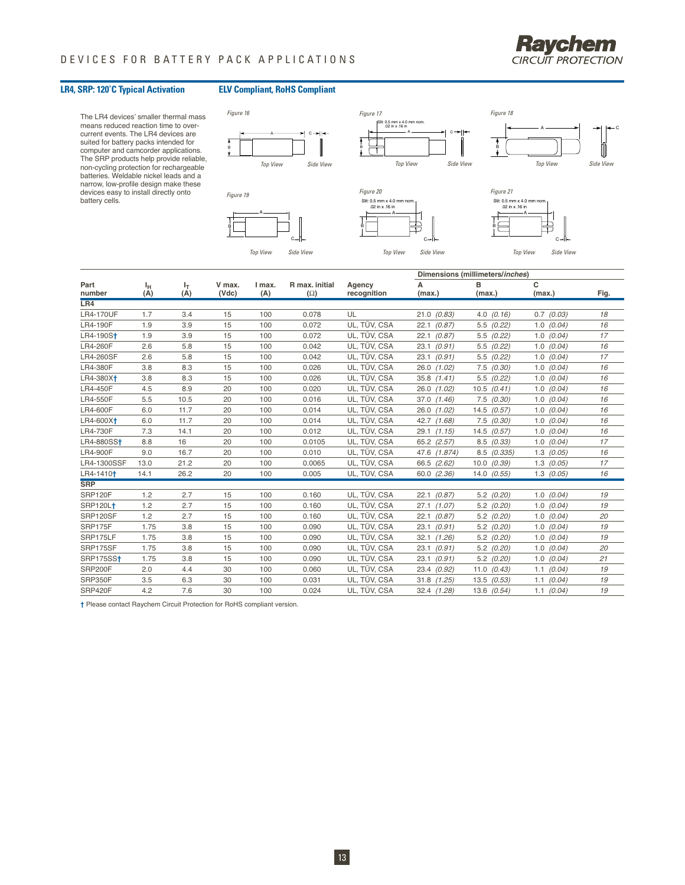

### **LR4, SRP: 120˚C Typical Activation ELV Compliant, RoHS Compliant**

The LR4 devices' smaller thermal mass means reduced reaction time to over-current events. The LR4 devices are suited for battery packs intended for computer and camcorder applications. The SRP products help provide reliable, non-cycling protection for rechargeable batteries. Weldable nickel leads and a narrow, low-profile design make these devices easy to install directly onto battery cells.



| Part<br>number         | Ιн<br>(A) | ŀт<br>(A) | V max.<br>(Vdc) | I max.<br>(A) | R max, initial<br>$(\Omega)$ | Agency<br>recognition | Dimensions (millimeters/inches) |                 |                |      |
|------------------------|-----------|-----------|-----------------|---------------|------------------------------|-----------------------|---------------------------------|-----------------|----------------|------|
|                        |           |           |                 |               |                              |                       | А<br>(max.)                     | в<br>(max.)     | c<br>(max.)    | Fig. |
| LR4                    |           |           |                 |               |                              |                       |                                 |                 |                |      |
| <b>LR4-170UF</b>       | 1.7       | 3.4       | 15              | 100           | 0.078                        | UL                    | 21.0<br>(0.83)                  | (0.16)<br>4.0   | 0.7<br>(0.03)  | 18   |
| LR4-190F               | 1.9       | 3.9       | 15              | 100           | 0.072                        | UL. TÜV. CSA          | 22.1<br>(0.87)                  | 5.5<br>(0.22)   | $1.0$ $(0.04)$ | 16   |
| LR4-190S <sup>+</sup>  | 1.9       | 3.9       | 15              | 100           | 0.072                        | UL. TÜV. CSA          | 22.1<br>(0.87)                  | 5.5<br>(0.22)   | $1.0$ $(0.04)$ | 17   |
| LR4-260F               | 2.6       | 5.8       | 15              | 100           | 0.042                        | UL, TÜV, CSA          | 23.1<br>(0.91)                  | 5.5<br>(0.22)   | $1.0$ $(0.04)$ | 16   |
| <b>LR4-260SF</b>       | 2.6       | 5.8       | 15              | 100           | 0.042                        | UL, TÜV, CSA          | 23.1<br>(0.91)                  | 5.5<br>(0.22)   | (0.04)<br>1.0  | 17   |
| LR4-380F               | 3.8       | 8.3       | 15              | 100           | 0.026                        | UL, TÜV, CSA          | 26.0 (1.02)                     | 7.5<br>(0.30)   | $1.0$ $(0.04)$ | 16   |
| LR4-380X <sup>+</sup>  | 3.8       | 8.3       | 15              | 100           | 0.026                        | UL, TÜV, CSA          | $35.8$ $(1.41)$                 | 5.5<br>(0.22)   | $1.0$ (0.04)   | 16   |
| LR4-450F               | 4.5       | 8.9       | 20              | 100           | 0.020                        | UL. TÜV. CSA          | 26.0 (1.02)                     | 10.5<br>(0.41)  | $1.0$ $(0.04)$ | 16   |
| LR4-550F               | 5.5       | 10.5      | 20              | 100           | 0.016                        | UL. TÜV. CSA          | 37.0 (1.46)                     | $7.5$ $(0.30)$  | $1.0$ $(0.04)$ | 16   |
| LR4-600F               | 6.0       | 11.7      | 20              | 100           | 0.014                        | UL, TÜV, CSA          | 26.0<br>(1.02)                  | 14.5<br>(0.57)  | (0.04)<br>1.0  | 16   |
| LR4-600X <sup>+</sup>  | 6.0       | 11.7      | 20              | 100           | 0.014                        | UL, TÜV, CSA          | 42.7<br>(1.68)                  | 7.5<br>(0.30)   | $1.0$ $(0.04)$ | 16   |
| LR4-730F               | 7.3       | 14.1      | 20              | 100           | 0.012                        | UL, TÜV, CSA          | 29.1<br>(1.15)                  | (0.57)<br>14.5  | (0.04)<br>1.0  | 16   |
| LR4-880SS <sup>+</sup> | 8.8       | 16        | 20              | 100           | 0.0105                       | UL, TÜV, CSA          | 65.2 (2.57)                     | 8.5<br>(0.33)   | 1.0<br>(0.04)  | 17   |
| LR4-900F               | 9.0       | 16.7      | 20              | 100           | 0.010                        | UL, TÜV, CSA          | 47.6<br>(1.874)                 | 8.5<br>(0.335)  | $1.3$ $(0.05)$ | 16   |
| LR4-1300SSF            | 13.0      | 21.2      | 20              | 100           | 0.0065                       | UL. TÜV. CSA          | 66.5 (2.62)                     | 10.0 (0.39)     | $1.3$ $(0.05)$ | 17   |
| LR4-1410 <sup>+</sup>  | 14.1      | 26.2      | 20              | 100           | 0.005                        | UL, TÜV, CSA          | 60.0 (2.36)                     | $14.0$ $(0.55)$ | $1.3$ (0.05)   | 16   |
| <b>SRP</b>             |           |           |                 |               |                              |                       |                                 |                 |                |      |
| SRP120F                | 1.2       | 2.7       | 15              | 100           | 0.160                        | UL. TÜV. CSA          | (0.87)<br>22.1                  | $5.2$ (0.20)    | (0.04)<br>1.0  | 19   |
| <b>SRP120Lt</b>        | 1.2       | 2.7       | 15              | 100           | 0.160                        | UL, TÜV, CSA          | 27.1<br>(1.07)                  | 5.2<br>(0.20)   | (0.04)<br>1.0  | 19   |
| SRP120SF               | 1.2       | 2.7       | 15              | 100           | 0.160                        | UL. TÜV. CSA          | (0.87)<br>22.1                  | $5.2$ (0.20)    | $1.0$ $(0.04)$ | 20   |
| SRP175F                | 1.75      | 3.8       | 15              | 100           | 0.090                        | UL, TÜV, CSA          | 23.1<br>(0.91)                  | $5.2$ (0.20)    | $1.0$ $(0.04)$ | 19   |
| SRP175LF               | 1.75      | 3.8       | 15              | 100           | 0.090                        | UL, TÜV, CSA          | 32.1<br>(1.26)                  | $5.2$ (0.20)    | (0.04)<br>1.0  | 19   |
| SRP175SF               | 1.75      | 3.8       | 15              | 100           | 0.090                        | UL. TÜV. CSA          | 23.1<br>(0.91)                  | 5.2<br>(0.20)   | $1.0$ $(0.04)$ | 20   |
| SRP175SS+              | 1.75      | 3.8       | 15              | 100           | 0.090                        | UL, TÜV, CSA          | 23.1<br>(0.91)                  | 5.2<br>(0.20)   | 1.0<br>(0.04)  | 21   |
| SRP200F                | 2.0       | 4.4       | 30              | 100           | 0.060                        | UL, TÜV, CSA          | 23.4<br>(0.92)                  | 11.0<br>(0.43)  | (0.04)<br>1.1  | 19   |
| SRP350F                | 3.5       | 6.3       | 30              | 100           | 0.031                        | UL, TÜV, CSA          | 31.8<br>(1.25)                  | 13.5<br>(0.53)  | (0.04)<br>1.1  | 19   |
| SRP420F                | 4.2       | 7.6       | 30              | 100           | 0.024                        | UL, TÜV, CSA          | 32.4 (1.28)                     | 13.6 (0.54)     | $1.1$ (0.04)   | 19   |

**†** Please contact Raychem Circuit Protection for RoHS compliant version.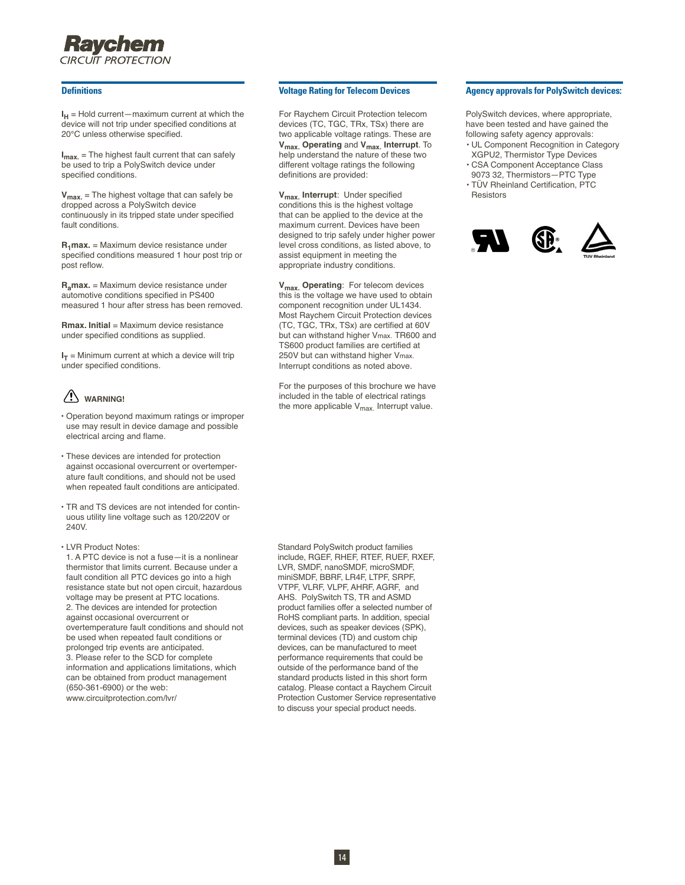## Ravchem CIRCUIT PROTECTION

#### **Definitions**

 $I_H$  = Hold current—maximum current at which the device will not trip under specified conditions at 20°C unless otherwise specified.

**Imax.** = The highest fault current that can safely be used to trip a PolySwitch device under specified conditions.

**Vmax.** = The highest voltage that can safely be dropped across a PolySwitch device continuously in its tripped state under specified fault conditions.

**R1max.** = Maximum device resistance under specified conditions measured 1 hour post trip or post reflow.

**Ramax.** = Maximum device resistance under automotive conditions specified in PS400 measured 1 hour after stress has been removed.

**Rmax. Initial** = Maximum device resistance under specified conditions as supplied.

 $I_T$  = Minimum current at which a device will trip under specified conditions.

## **WARNING!**

- Operation beyond maximum ratings or improper use may result in device damage and possible electrical arcing and flame.
- These devices are intended for protection against occasional overcurrent or overtemperature fault conditions, and should not be used when repeated fault conditions are anticipated.
- TR and TS devices are not intended for continuous utility line voltage such as 120/220V or 240V.
- LVR Product Notes:

1. A PTC device is not a fuse—it is a nonlinear thermistor that limits current. Because under a fault condition all PTC devices go into a high resistance state but not open circuit, hazardous voltage may be present at PTC locations. 2. The devices are intended for protection against occasional overcurrent or overtemperature fault conditions and should not be used when repeated fault conditions or prolonged trip events are anticipated. 3. Please refer to the SCD for complete information and applications limitations, which can be obtained from product management (650-361-6900) or the web: www.circuitprotection.com/lvr/

#### **Voltage Rating for Telecom Devices**

For Raychem Circuit Protection telecom devices (TC, TGC, TRx, TSx) there are two applicable voltage ratings. These are **Vmax. Operating** and **Vmax. Interrupt**. To help understand the nature of these two different voltage ratings the following definitions are provided:

**Vmax. Interrupt**: Under specified conditions this is the highest voltage that can be applied to the device at the maximum current. Devices have been designed to trip safely under higher power level cross conditions, as listed above, to assist equipment in meeting the appropriate industry conditions.

**Vmax. Operating**: For telecom devices this is the voltage we have used to obtain component recognition under UL1434. Most Raychem Circuit Protection devices (TC, TGC, TRx, TSx) are certified at 60V but can withstand higher Vmax. TR600 and TS600 product families are certified at 250V but can withstand higher Vmax. Interrupt conditions as noted above.

For the purposes of this brochure we have included in the table of electrical ratings the more applicable  $V_{\text{max}}$ . Interrupt value.

Standard PolySwitch product families include, RGEF, RHEF, RTEF, RUEF, RXEF, LVR, SMDF, nanoSMDF, microSMDF, miniSMDF, BBRF, LR4F, LTPF, SRPF, VTPF, VLRF, VLPF, AHRF, AGRF, and AHS. PolySwitch TS, TR and ASMD product families offer a selected number of RoHS compliant parts. In addition, special devices, such as speaker devices (SPK), terminal devices (TD) and custom chip devices, can be manufactured to meet performance requirements that could be outside of the performance band of the standard products listed in this short form catalog. Please contact a Raychem Circuit Protection Customer Service representative to discuss your special product needs.

#### **Agency approvals for PolySwitch devices:**

PolySwitch devices, where appropriate, have been tested and have gained the following safety agency approvals:

- UL Component Recognition in Category XGPU2, Thermistor Type Devices
- CSA Component Acceptance Class 9073 32, Thermistors—PTC Type • TÜV Rheinland Certification, PTC
- Resistors